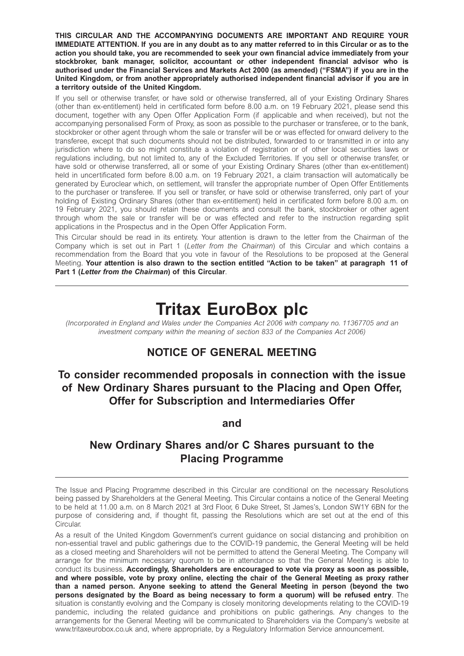**THIS CIRCULAR AND THE ACCOMPANYING DOCUMENTS ARE IMPORTANT AND REQUIRE YOUR IMMEDIATE ATTENTION. If you are in any doubt as to any matter referred to in this Circular or as to the action you should take, you are recommended to seek your own financial advice immediately from your stockbroker, bank manager, solicitor, accountant or other independent financial advisor who is authorised under the Financial Services and Markets Act 2000 (as amended) ("FSMA") if you are in the United Kingdom, or from another appropriately authorised independent financial advisor if you are in a territory outside of the United Kingdom.**

If you sell or otherwise transfer, or have sold or otherwise transferred, all of your Existing Ordinary Shares (other than ex-entitlement) held in certificated form before 8.00 a.m. on 19 February 2021, please send this document, together with any Open Offer Application Form (if applicable and when received), but not the accompanying personalised Form of Proxy, as soon as possible to the purchaser or transferee, or to the bank, stockbroker or other agent through whom the sale or transfer will be or was effected for onward delivery to the transferee, except that such documents should not be distributed, forwarded to or transmitted in or into any jurisdiction where to do so might constitute a violation of registration or of other local securities laws or regulations including, but not limited to, any of the Excluded Territories. If you sell or otherwise transfer, or have sold or otherwise transferred, all or some of your Existing Ordinary Shares (other than ex-entitlement) held in uncertificated form before 8.00 a.m. on 19 February 2021, a claim transaction will automatically be generated by Euroclear which, on settlement, will transfer the appropriate number of Open Offer Entitlements to the purchaser or transferee. If you sell or transfer, or have sold or otherwise transferred, only part of your holding of Existing Ordinary Shares (other than ex-entitlement) held in certificated form before 8.00 a.m. on 19 February 2021, you should retain these documents and consult the bank, stockbroker or other agent through whom the sale or transfer will be or was effected and refer to the instruction regarding split applications in the Prospectus and in the Open Offer Application Form.

This Circular should be read in its entirety. Your attention is drawn to the letter from the Chairman of the Company which is set out in Part 1 (*Letter from the Chairman*) of this Circular and which contains a recommendation from the Board that you vote in favour of the Resolutions to be proposed at the General Meeting. **Your attention is also drawn to the section entitled "Action to be taken" at paragraph 11 of Part 1 (***Letter from the Chairman***) of this Circular**.

# **Tritax EuroBox plc**

*(Incorporated in England and Wales under the Companies Act 2006 with company no. 11367705 and an*  investment company within the meaning of section 833 of the Companies Act 2006)

# **NOTICE OF GENERAL MEETING**

# **To consider recommended proposals in connection with the issue of New Ordinary Shares pursuant to the Placing and Open Offer, Offer for Subscription and Intermediaries Offer**

**and** 

# **New Ordinary Shares and/or C Shares pursuant to the Placing Programme**

The Issue and Placing Programme described in this Circular are conditional on the necessary Resolutions being passed by Shareholders at the General Meeting. This Circular contains a notice of the General Meeting to be held at 11.00 a.m. on 8 March 2021 at 3rd Floor, 6 Duke Street, St James's, London SW1Y 6BN for the purpose of considering and, if thought fit, passing the Resolutions which are set out at the end of this Circular.

As a result of the United Kingdom Government's current guidance on social distancing and prohibition on non-essential travel and public gatherings due to the COVID-19 pandemic, the General Meeting will be held as a closed meeting and Shareholders will not be permitted to attend the General Meeting. The Company will arrange for the minimum necessary quorum to be in attendance so that the General Meeting is able to conduct its business. **Accordingly, Shareholders are encouraged to vote via proxy as soon as possible, and where possible, vote by proxy online, electing the chair of the General Meeting as proxy rather than a named person. Anyone seeking to attend the General Meeting in person (beyond the two persons designated by the Board as being necessary to form a quorum) will be refused entry**. The situation is constantly evolving and the Company is closely monitoring developments relating to the COVID-19 pandemic, including the related guidance and prohibitions on public gatherings. Any changes to the arrangements for the General Meeting will be communicated to Shareholders via the Company's website at www.tritaxeurobox.co.uk and, where appropriate, by a Regulatory Information Service announcement.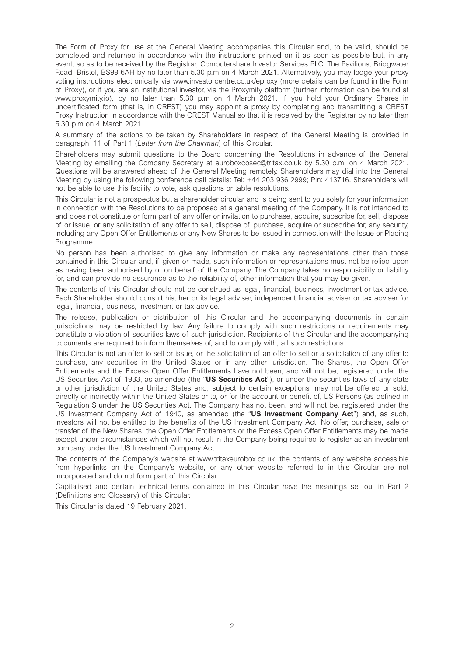The Form of Proxy for use at the General Meeting accompanies this Circular and, to be valid, should be completed and returned in accordance with the instructions printed on it as soon as possible but, in any event, so as to be received by the Registrar, Computershare Investor Services PLC, The Pavilions, Bridgwater Road, Bristol, BS99 6AH by no later than 5.30 p.m on 4 March 2021. Alternatively, you may lodge your proxy voting instructions electronically via www.investorcentre.co.uk/eproxy (more details can be found in the Form of Proxy), or if you are an institutional investor, via the Proxymity platform (further information can be found at www.proxymity.io), by no later than 5.30 p.m on 4 March 2021. If you hold your Ordinary Shares in uncertificated form (that is, in CREST) you may appoint a proxy by completing and transmitting a CREST Proxy Instruction in accordance with the CREST Manual so that it is received by the Registrar by no later than 5.30 p.m on 4 March 2021.

A summary of the actions to be taken by Shareholders in respect of the General Meeting is provided in paragraph 11 of Part 1 (*Letter from the Chairman*) of this Circular.

Shareholders may submit questions to the Board concerning the Resolutions in advance of the General Meeting by emailing the Company Secretary at euroboxcosec@tritax.co.uk by 5.30 p.m. on 4 March 2021. Questions will be answered ahead of the General Meeting remotely. Shareholders may dial into the General Meeting by using the following conference call details: Tel: +44 203 936 2999; Pin: 413716. Shareholders will not be able to use this facility to vote, ask questions or table resolutions.

This Circular is not a prospectus but a shareholder circular and is being sent to you solely for your information in connection with the Resolutions to be proposed at a general meeting of the Company. It is not intended to and does not constitute or form part of any offer or invitation to purchase, acquire, subscribe for, sell, dispose of or issue, or any solicitation of any offer to sell, dispose of, purchase, acquire or subscribe for, any security, including any Open Offer Entitlements or any New Shares to be issued in connection with the Issue or Placing Programme.

No person has been authorised to give any information or make any representations other than those contained in this Circular and, if given or made, such information or representations must not be relied upon as having been authorised by or on behalf of the Company. The Company takes no responsibility or liability for, and can provide no assurance as to the reliability of, other information that you may be given.

The contents of this Circular should not be construed as legal, financial, business, investment or tax advice. Each Shareholder should consult his, her or its legal adviser, independent financial adviser or tax adviser for legal, financial, business, investment or tax advice.

The release, publication or distribution of this Circular and the accompanying documents in certain jurisdictions may be restricted by law. Any failure to comply with such restrictions or requirements may constitute a violation of securities laws of such jurisdiction. Recipients of this Circular and the accompanying documents are required to inform themselves of, and to comply with, all such restrictions.

This Circular is not an offer to sell or issue, or the solicitation of an offer to sell or a solicitation of any offer to purchase, any securities in the United States or in any other jurisdiction. The Shares, the Open Offer Entitlements and the Excess Open Offer Entitlements have not been, and will not be, registered under the US Securities Act of 1933, as amended (the "**US Securities Act**"), or under the securities laws of any state or other jurisdiction of the United States and, subject to certain exceptions, may not be offered or sold, directly or indirectly, within the United States or to, or for the account or benefit of, US Persons (as defined in Regulation S under the US Securities Act. The Company has not been, and will not be, registered under the US Investment Company Act of 1940, as amended (the "**US Investment Company Act**") and, as such, investors will not be entitled to the benefits of the US Investment Company Act. No offer, purchase, sale or transfer of the New Shares, the Open Offer Entitlements or the Excess Open Offer Entitlements may be made except under circumstances which will not result in the Company being required to register as an investment company under the US Investment Company Act.

The contents of the Company's website at www.tritaxeurobox.co.uk, the contents of any website accessible from hyperlinks on the Company's website, or any other website referred to in this Circular are not incorporated and do not form part of this Circular.

Capitalised and certain technical terms contained in this Circular have the meanings set out in Part 2 (Definitions and Glossary) of this Circular.

This Circular is dated 19 February 2021.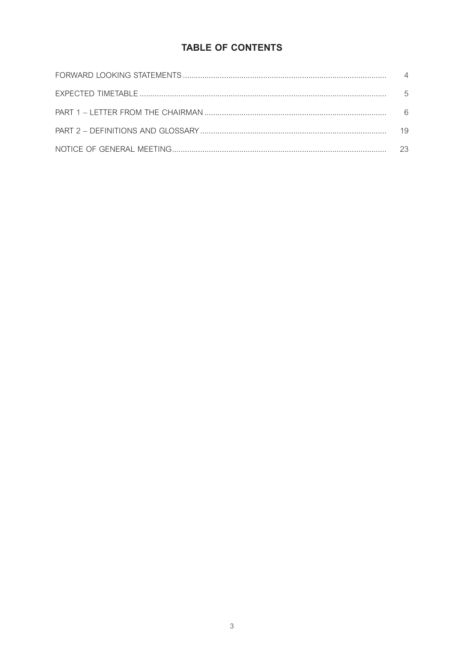# **TABLE OF CONTENTS**

| .5 |
|----|
| 6  |
| 19 |
| 23 |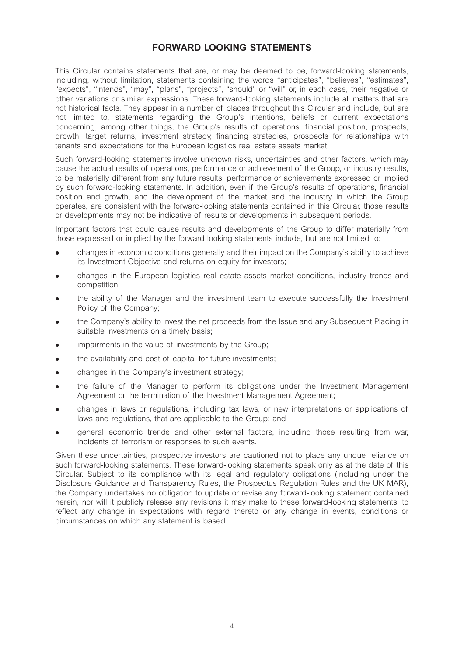## **FORWARD LOOKING STATEMENTS**

This Circular contains statements that are, or may be deemed to be, forward-looking statements, including, without limitation, statements containing the words "anticipates", "believes", "estimates", "expects", "intends", "may", "plans", "projects", "should" or "will" or, in each case, their negative or other variations or similar expressions. These forward-looking statements include all matters that are not historical facts. They appear in a number of places throughout this Circular and include, but are not limited to, statements regarding the Group's intentions, beliefs or current expectations concerning, among other things, the Group's results of operations, financial position, prospects, growth, target returns, investment strategy, financing strategies, prospects for relationships with tenants and expectations for the European logistics real estate assets market.

Such forward-looking statements involve unknown risks, uncertainties and other factors, which may cause the actual results of operations, performance or achievement of the Group, or industry results, to be materially different from any future results, performance or achievements expressed or implied by such forward-looking statements. In addition, even if the Group's results of operations, financial position and growth, and the development of the market and the industry in which the Group operates, are consistent with the forward-looking statements contained in this Circular, those results or developments may not be indicative of results or developments in subsequent periods.

Important factors that could cause results and developments of the Group to differ materially from those expressed or implied by the forward looking statements include, but are not limited to:

- changes in economic conditions generally and their impact on the Company's ability to achieve its Investment Objective and returns on equity for investors;
- <sup>l</sup> changes in the European logistics real estate assets market conditions, industry trends and competition;
- <sup>l</sup> the ability of the Manager and the investment team to execute successfully the Investment Policy of the Company;
- the Company's ability to invest the net proceeds from the Issue and any Subsequent Placing in suitable investments on a timely basis;
- impairments in the value of investments by the Group;
- the availability and cost of capital for future investments:
- changes in the Company's investment strategy;
- the failure of the Manager to perform its obligations under the Investment Management Agreement or the termination of the Investment Management Agreement;
- changes in laws or regulations, including tax laws, or new interpretations or applications of laws and regulations, that are applicable to the Group; and
- <sup>l</sup> general economic trends and other external factors, including those resulting from war, incidents of terrorism or responses to such events.

Given these uncertainties, prospective investors are cautioned not to place any undue reliance on such forward-looking statements. These forward-looking statements speak only as at the date of this Circular. Subject to its compliance with its legal and regulatory obligations (including under the Disclosure Guidance and Transparency Rules, the Prospectus Regulation Rules and the UK MAR), the Company undertakes no obligation to update or revise any forward-looking statement contained herein, nor will it publicly release any revisions it may make to these forward-looking statements, to reflect any change in expectations with regard thereto or any change in events, conditions or circumstances on which any statement is based.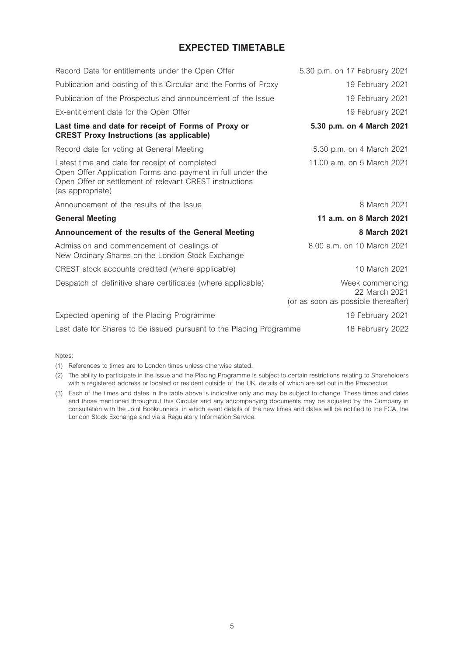# **EXPECTED TIMETABLE**

| Record Date for entitlements under the Open Offer                                                                                                                                          | 5.30 p.m. on 17 February 2021                                           |
|--------------------------------------------------------------------------------------------------------------------------------------------------------------------------------------------|-------------------------------------------------------------------------|
| Publication and posting of this Circular and the Forms of Proxy                                                                                                                            | 19 February 2021                                                        |
| Publication of the Prospectus and announcement of the Issue                                                                                                                                | 19 February 2021                                                        |
| Ex-entitlement date for the Open Offer                                                                                                                                                     | 19 February 2021                                                        |
| Last time and date for receipt of Forms of Proxy or<br><b>CREST Proxy Instructions (as applicable)</b>                                                                                     | 5.30 p.m. on 4 March 2021                                               |
| Record date for voting at General Meeting                                                                                                                                                  | 5.30 p.m. on 4 March 2021                                               |
| Latest time and date for receipt of completed<br>Open Offer Application Forms and payment in full under the<br>Open Offer or settlement of relevant CREST instructions<br>(as appropriate) | 11.00 a.m. on 5 March 2021                                              |
| Announcement of the results of the Issue                                                                                                                                                   | 8 March 2021                                                            |
| <b>General Meeting</b>                                                                                                                                                                     | 11 a.m. on 8 March 2021                                                 |
| Announcement of the results of the General Meeting                                                                                                                                         | 8 March 2021                                                            |
| Admission and commencement of dealings of<br>New Ordinary Shares on the London Stock Exchange                                                                                              | 8.00 a.m. on 10 March 2021                                              |
| CREST stock accounts credited (where applicable)                                                                                                                                           | 10 March 2021                                                           |
| Despatch of definitive share certificates (where applicable)                                                                                                                               | Week commencing<br>22 March 2021<br>(or as soon as possible thereafter) |
| Expected opening of the Placing Programme                                                                                                                                                  | 19 February 2021                                                        |
| Last date for Shares to be issued pursuant to the Placing Programme                                                                                                                        | 18 February 2022                                                        |

Notes:

(1) References to times are to London times unless otherwise stated.

(2) The ability to participate in the Issue and the Placing Programme is subject to certain restrictions relating to Shareholders with a registered address or located or resident outside of the UK, details of which are set out in the Prospectus.

(3) Each of the times and dates in the table above is indicative only and may be subject to change. These times and dates and those mentioned throughout this Circular and any accompanying documents may be adjusted by the Company in consultation with the Joint Bookrunners, in which event details of the new times and dates will be notified to the FCA, the London Stock Exchange and via a Regulatory Information Service.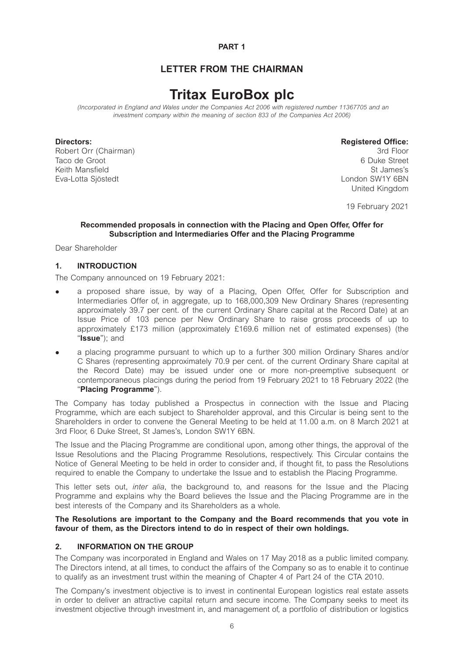#### **PART 1**

## **LETTER FROM THE CHAIRMAN**

# **Tritax EuroBox plc**

 *(Incorporated in England and Wales under the Companies Act 2006 with registered number 11367705 and an*  investment company within the meaning of section 833 of the Companies Act 2006)

Robert Orr (Chairman) Taco de Groot 6 Duke Street Keith Mansfield St James's Communication of the St James's St James's St James's St James's St James's St James's St James's St James's St James's St James's St James's St James's St James's St James's St James's St James' Eva-Lotta Sjöstedt London SW1Y 6BN

# **Directors: Registered Office: Report Chairman**

United Kingdom

19 February 2021

#### **Recommended proposals in connection with the Placing and Open Offer, Offer for Subscription and Intermediaries Offer and the Placing Programme**

Dear Shareholder

#### **1. INTRODUCTION**

The Company announced on 19 February 2021:

- a proposed share issue, by way of a Placing, Open Offer, Offer for Subscription and Intermediaries Offer of, in aggregate, up to 168,000,309 New Ordinary Shares (representing approximately 39.7 per cent. of the current Ordinary Share capital at the Record Date) at an Issue Price of 103 pence per New Ordinary Share to raise gross proceeds of up to approximately £173 million (approximately £169.6 million net of estimated expenses) (the "**Issue**"); and
- a placing programme pursuant to which up to a further 300 million Ordinary Shares and/or C Shares (representing approximately 70.9 per cent. of the current Ordinary Share capital at the Record Date) may be issued under one or more non-preemptive subsequent or contemporaneous placings during the period from 19 February 2021 to 18 February 2022 (the "**Placing Programme**").

The Company has today published a Prospectus in connection with the Issue and Placing Programme, which are each subject to Shareholder approval, and this Circular is being sent to the Shareholders in order to convene the General Meeting to be held at 11.00 a.m. on 8 March 2021 at 3rd Floor, 6 Duke Street, St James's, London SW1Y 6BN.

The Issue and the Placing Programme are conditional upon, among other things, the approval of the Issue Resolutions and the Placing Programme Resolutions, respectively. This Circular contains the Notice of General Meeting to be held in order to consider and, if thought fit, to pass the Resolutions required to enable the Company to undertake the Issue and to establish the Placing Programme.

This letter sets out, *inter alia*, the background to, and reasons for the Issue and the Placing Programme and explains why the Board believes the Issue and the Placing Programme are in the best interests of the Company and its Shareholders as a whole.

#### **The Resolutions are important to the Company and the Board recommends that you vote in favour of them, as the Directors intend to do in respect of their own holdings.**

#### **2. INFORMATION ON THE GROUP**

The Company was incorporated in England and Wales on 17 May 2018 as a public limited company. The Directors intend, at all times, to conduct the affairs of the Company so as to enable it to continue to qualify as an investment trust within the meaning of Chapter 4 of Part 24 of the CTA 2010.

The Company's investment objective is to invest in continental European logistics real estate assets in order to deliver an attractive capital return and secure income. The Company seeks to meet its investment objective through investment in, and management of, a portfolio of distribution or logistics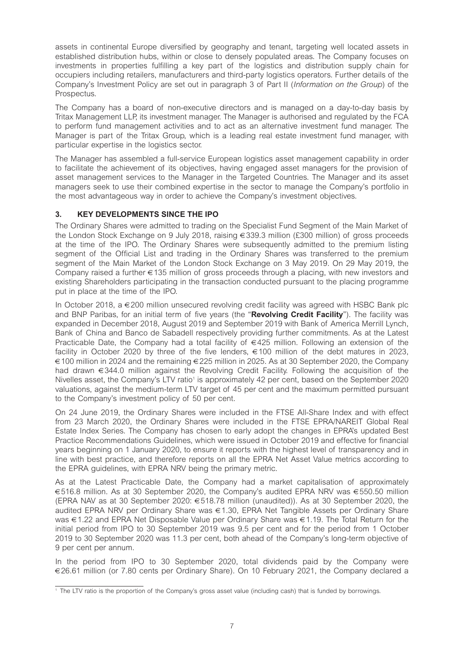assets in continental Europe diversified by geography and tenant, targeting well located assets in established distribution hubs, within or close to densely populated areas. The Company focuses on investments in properties fulfilling a key part of the logistics and distribution supply chain for occupiers including retailers, manufacturers and third-party logistics operators. Further details of the Company's Investment Policy are set out in paragraph 3 of Part II (*Information on the Group*) of the Prospectus.

The Company has a board of non-executive directors and is managed on a day-to-day basis by Tritax Management LLP, its investment manager. The Manager is authorised and regulated by the FCA to perform fund management activities and to act as an alternative investment fund manager. The Manager is part of the Tritax Group, which is a leading real estate investment fund manager, with particular expertise in the logistics sector.

The Manager has assembled a full-service European logistics asset management capability in order to facilitate the achievement of its objectives, having engaged asset managers for the provision of asset management services to the Manager in the Targeted Countries. The Manager and its asset managers seek to use their combined expertise in the sector to manage the Company's portfolio in the most advantageous way in order to achieve the Company's investment objectives.

### **3. KEY DEVELOPMENTS SINCE THE IPO**

The Ordinary Shares were admitted to trading on the Specialist Fund Segment of the Main Market of the London Stock Exchange on 9 July 2018, raising €339.3 million (£300 million) of gross proceeds at the time of the IPO. The Ordinary Shares were subsequently admitted to the premium listing segment of the Official List and trading in the Ordinary Shares was transferred to the premium segment of the Main Market of the London Stock Exchange on 3 May 2019. On 29 May 2019, the Company raised a further €135 million of gross proceeds through a placing, with new investors and existing Shareholders participating in the transaction conducted pursuant to the placing programme put in place at the time of the IPO.

In October 2018,  $a \in 200$  million unsecured revolving credit facility was agreed with HSBC Bank plc and BNP Paribas, for an initial term of five years (the "**Revolving Credit Facility**"). The facility was expanded in December 2018, August 2019 and September 2019 with Bank of America Merrill Lynch, Bank of China and Banco de Sabadell respectively providing further commitments. As at the Latest Practicable Date, the Company had a total facility of €425 million. Following an extension of the facility in October 2020 by three of the five lenders,  $\epsilon$ 100 million of the debt matures in 2023, €100 million in 2024 and the remaining €225 million in 2025. As at 30 September 2020, the Company had drawn €344.0 million against the Revolving Credit Facility. Following the acquisition of the Nivelles asset, the Company's LTV ratio<sup>1</sup> is approximately 42 per cent, based on the September 2020 valuations, against the medium-term LTV target of 45 per cent and the maximum permitted pursuant to the Company's investment policy of 50 per cent.

On 24 June 2019, the Ordinary Shares were included in the FTSE All-Share Index and with effect from 23 March 2020, the Ordinary Shares were included in the FTSE EPRA/NAREIT Global Real Estate Index Series. The Company has chosen to early adopt the changes in EPRA's updated Best Practice Recommendations Guidelines, which were issued in October 2019 and effective for financial years beginning on 1 January 2020, to ensure it reports with the highest level of transparency and in line with best practice, and therefore reports on all the EPRA Net Asset Value metrics according to the EPRA guidelines, with EPRA NRV being the primary metric.

As at the Latest Practicable Date, the Company had a market capitalisation of approximately €516.8 million. As at 30 September 2020, the Company's audited EPRA NRV was €550.50 million (EPRA NAV as at 30 September 2020: €518.78 million (unaudited)). As at 30 September 2020, the audited EPRA NRV per Ordinary Share was €1.30, EPRA Net Tangible Assets per Ordinary Share was €1.22 and EPRA Net Disposable Value per Ordinary Share was €1.19. The Total Return for the initial period from IPO to 30 September 2019 was 9.5 per cent and for the period from 1 October 2019 to 30 September 2020 was 11.3 per cent, both ahead of the Company's long-term objective of 9 per cent per annum.

In the period from IPO to 30 September 2020, total dividends paid by the Company were €26.61 million (or 7.80 cents per Ordinary Share). On 10 February 2021, the Company declared a

<sup>1</sup> The LTV ratio is the proportion of the Company's gross asset value (including cash) that is funded by borrowings.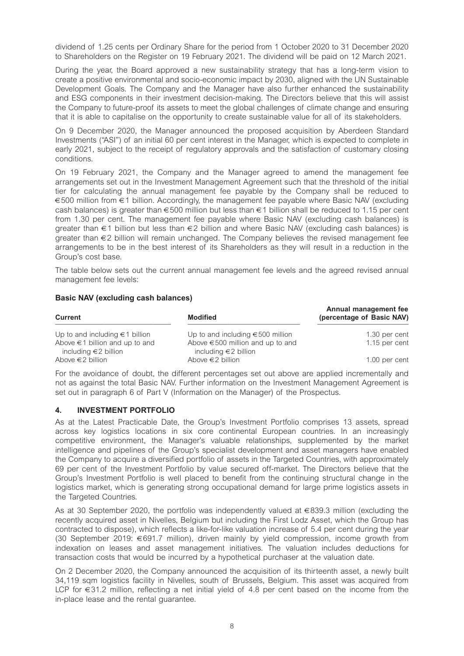dividend of 1.25 cents per Ordinary Share for the period from 1 October 2020 to 31 December 2020 to Shareholders on the Register on 19 February 2021. The dividend will be paid on 12 March 2021.

During the year, the Board approved a new sustainability strategy that has a long-term vision to create a positive environmental and socio-economic impact by 2030, aligned with the UN Sustainable Development Goals. The Company and the Manager have also further enhanced the sustainability and ESG components in their investment decision-making. The Directors believe that this will assist the Company to future-proof its assets to meet the global challenges of climate change and ensuring that it is able to capitalise on the opportunity to create sustainable value for all of its stakeholders.

On 9 December 2020, the Manager announced the proposed acquisition by Aberdeen Standard Investments ("ASI") of an initial 60 per cent interest in the Manager, which is expected to complete in early 2021, subject to the receipt of regulatory approvals and the satisfaction of customary closing conditions.

On 19 February 2021, the Company and the Manager agreed to amend the management fee arrangements set out in the Investment Management Agreement such that the threshold of the initial tier for calculating the annual management fee payable by the Company shall be reduced to €500 million from €1 billion. Accordingly, the management fee payable where Basic NAV (excluding cash balances) is greater than  $\epsilon$ 500 million but less than  $\epsilon$ 1 billion shall be reduced to 1.15 per cent from 1.30 per cent. The management fee payable where Basic NAV (excluding cash balances) is greater than €1 billion but less than €2 billion and where Basic NAV (excluding cash balances) is greater than €2 billion will remain unchanged. The Company believes the revised management fee arrangements to be in the best interest of its Shareholders as they will result in a reduction in the Group's cost base.

The table below sets out the current annual management fee levels and the agreed revised annual management fee levels:

#### **Basic NAV (excluding cash balances)**

| <b>Current</b>                                                   | <b>Modified</b>                                                    | Annual management fee<br>(percentage of Basic NAV) |
|------------------------------------------------------------------|--------------------------------------------------------------------|----------------------------------------------------|
| Up to and including $\in$ 1 billion                              | Up to and including $\epsilon$ 500 million                         | 1.30 per cent                                      |
| Above $\in$ 1 billion and up to and<br>including $\in$ 2 billion | Above $\in$ 500 million and up to and<br>including $\in$ 2 billion | 1.15 per cent                                      |
| Above $\in$ 2 billion                                            | Above $\in$ 2 billion                                              | 1.00 per cent                                      |

For the avoidance of doubt, the different percentages set out above are applied incrementally and not as against the total Basic NAV. Further information on the Investment Management Agreement is set out in paragraph 6 of Part V (Information on the Manager) of the Prospectus.

#### **4. INVESTMENT PORTFOLIO**

As at the Latest Practicable Date, the Group's Investment Portfolio comprises 13 assets, spread across key logistics locations in six core continental European countries. In an increasingly competitive environment, the Manager's valuable relationships, supplemented by the market intelligence and pipelines of the Group's specialist development and asset managers have enabled the Company to acquire a diversified portfolio of assets in the Targeted Countries, with approximately 69 per cent of the Investment Portfolio by value secured off-market. The Directors believe that the Group's Investment Portfolio is well placed to benefit from the continuing structural change in the logistics market, which is generating strong occupational demand for large prime logistics assets in the Targeted Countries.

As at 30 September 2020, the portfolio was independently valued at €839.3 million (excluding the recently acquired asset in Nivelles, Belgium but including the First Lodz Asset, which the Group has contracted to dispose), which reflects a like-for-like valuation increase of 5.4 per cent during the year (30 September 2019: €691.7 million), driven mainly by yield compression, income growth from indexation on leases and asset management initiatives. The valuation includes deductions for transaction costs that would be incurred by a hypothetical purchaser at the valuation date.

On 2 December 2020, the Company announced the acquisition of its thirteenth asset, a newly built 34,119 sqm logistics facility in Nivelles, south of Brussels, Belgium. This asset was acquired from LCP for  $\epsilon$ 31.2 million, reflecting a net initial yield of 4.8 per cent based on the income from the in-place lease and the rental guarantee.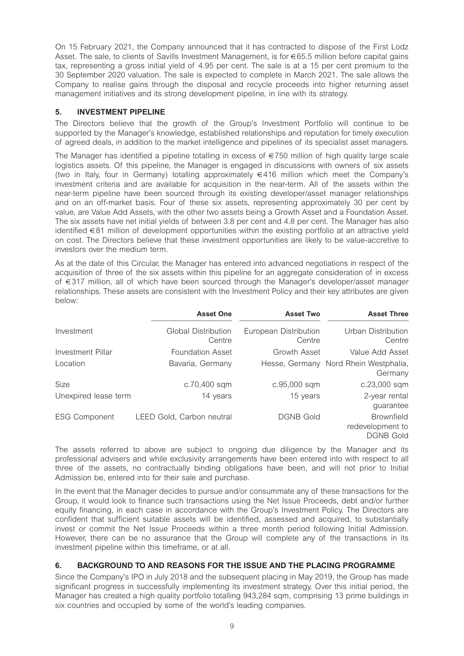On 15 February 2021, the Company announced that it has contracted to dispose of the First Lodz Asset. The sale, to clients of Savills Investment Management, is for €65.5 million before capital gains tax, representing a gross initial yield of 4.95 per cent. The sale is at a 15 per cent premium to the 30 September 2020 valuation. The sale is expected to complete in March 2021. The sale allows the Company to realise gains through the disposal and recycle proceeds into higher returning asset management initiatives and its strong development pipeline, in line with its strategy.

#### **5. INVESTMENT PIPELINE**

The Directors believe that the growth of the Group's Investment Portfolio will continue to be supported by the Manager's knowledge, established relationships and reputation for timely execution of agreed deals, in addition to the market intelligence and pipelines of its specialist asset managers.

The Manager has identified a pipeline totalling in excess of  $\epsilon$ 750 million of high quality large scale logistics assets. Of this pipeline, the Manager is engaged in discussions with owners of six assets (two in Italy, four in Germany) totalling approximately €416 million which meet the Company's investment criteria and are available for acquisition in the near-term. All of the assets within the near-term pipeline have been sourced through its existing developer/asset manager relationships and on an off-market basis. Four of these six assets, representing approximately 30 per cent by value, are Value Add Assets, with the other two assets being a Growth Asset and a Foundation Asset. The six assets have net initial yields of between 3.8 per cent and 4.8 per cent. The Manager has also identified €81 million of development opportunities within the existing portfolio at an attractive yield on cost. The Directors believe that these investment opportunities are likely to be value-accretive to investors over the medium term.

As at the date of this Circular, the Manager has entered into advanced negotiations in respect of the acquisition of three of the six assets within this pipeline for an aggregate consideration of in excess of €317 million, all of which have been sourced through the Manager's developer/asset manager relationships. These assets are consistent with the Investment Policy and their key attributes are given below:

|                      | <b>Asset One</b>              | <b>Asset Two</b>                | <b>Asset Three</b>                                        |
|----------------------|-------------------------------|---------------------------------|-----------------------------------------------------------|
| Investment           | Global Distribution<br>Centre | European Distribution<br>Centre | Urban Distribution<br>Centre                              |
| Investment Pillar    | <b>Foundation Asset</b>       | Growth Asset                    | Value Add Asset                                           |
| Location             | Bavaria, Germany              |                                 | Hesse, Germany Nord Rhein Westphalia,<br>Germany          |
| Size                 | c.70,400 sqm                  | c.95,000 sqm                    | c.23,000 sqm                                              |
| Unexpired lease term | 14 years                      | 15 years                        | 2-year rental<br>guarantee                                |
| <b>ESG Component</b> | LEED Gold, Carbon neutral     | <b>DGNB Gold</b>                | <b>Brownfield</b><br>redevelopment to<br><b>DGNB Gold</b> |

The assets referred to above are subject to ongoing due diligence by the Manager and its professional advisers and while exclusivity arrangements have been entered into with respect to all three of the assets, no contractually binding obligations have been, and will not prior to Initial Admission be, entered into for their sale and purchase.

In the event that the Manager decides to pursue and/or consummate any of these transactions for the Group, it would look to finance such transactions using the Net Issue Proceeds, debt and/or further equity financing, in each case in accordance with the Group's Investment Policy. The Directors are confident that sufficient suitable assets will be identified, assessed and acquired, to substantially invest or commit the Net Issue Proceeds within a three month period following Initial Admission. However, there can be no assurance that the Group will complete any of the transactions in its investment pipeline within this timeframe, or at all.

#### **6. BACKGROUND TO AND REASONS FOR THE ISSUE AND THE PLACING PROGRAMME**

Since the Company's IPO in July 2018 and the subsequent placing in May 2019, the Group has made significant progress in successfully implementing its investment strategy. Over this initial period, the Manager has created a high quality portfolio totalling 943,284 sqm, comprising 13 prime buildings in six countries and occupied by some of the world's leading companies.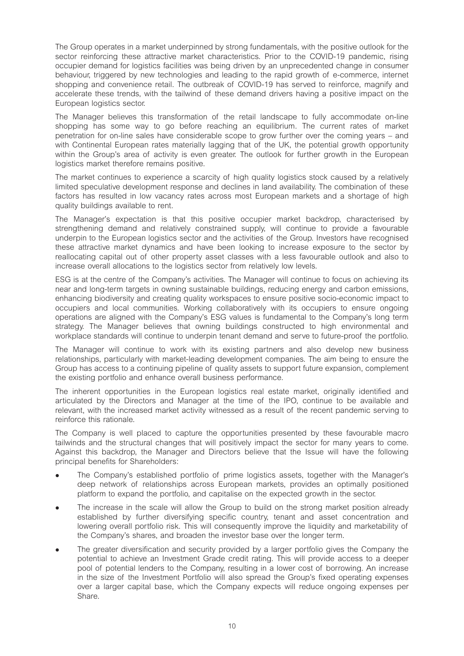The Group operates in a market underpinned by strong fundamentals, with the positive outlook for the sector reinforcing these attractive market characteristics. Prior to the COVID-19 pandemic, rising occupier demand for logistics facilities was being driven by an unprecedented change in consumer behaviour, triggered by new technologies and leading to the rapid growth of e-commerce, internet shopping and convenience retail. The outbreak of COVID-19 has served to reinforce, magnify and accelerate these trends, with the tailwind of these demand drivers having a positive impact on the European logistics sector.

The Manager believes this transformation of the retail landscape to fully accommodate on-line shopping has some way to go before reaching an equilibrium. The current rates of market penetration for on-line sales have considerable scope to grow further over the coming years – and with Continental European rates materially lagging that of the UK, the potential growth opportunity within the Group's area of activity is even greater. The outlook for further growth in the European logistics market therefore remains positive.

The market continues to experience a scarcity of high quality logistics stock caused by a relatively limited speculative development response and declines in land availability. The combination of these factors has resulted in low vacancy rates across most European markets and a shortage of high quality buildings available to rent.

The Manager's expectation is that this positive occupier market backdrop, characterised by strengthening demand and relatively constrained supply, will continue to provide a favourable underpin to the European logistics sector and the activities of the Group. Investors have recognised these attractive market dynamics and have been looking to increase exposure to the sector by reallocating capital out of other property asset classes with a less favourable outlook and also to increase overall allocations to the logistics sector from relatively low levels.

ESG is at the centre of the Company's activities. The Manager will continue to focus on achieving its near and long-term targets in owning sustainable buildings, reducing energy and carbon emissions, enhancing biodiversity and creating quality workspaces to ensure positive socio-economic impact to occupiers and local communities. Working collaboratively with its occupiers to ensure ongoing operations are aligned with the Company's ESG values is fundamental to the Company's long term strategy. The Manager believes that owning buildings constructed to high environmental and workplace standards will continue to underpin tenant demand and serve to future-proof the portfolio.

The Manager will continue to work with its existing partners and also develop new business relationships, particularly with market-leading development companies. The aim being to ensure the Group has access to a continuing pipeline of quality assets to support future expansion, complement the existing portfolio and enhance overall business performance.

The inherent opportunities in the European logistics real estate market, originally identified and articulated by the Directors and Manager at the time of the IPO, continue to be available and relevant, with the increased market activity witnessed as a result of the recent pandemic serving to reinforce this rationale.

The Company is well placed to capture the opportunities presented by these favourable macro tailwinds and the structural changes that will positively impact the sector for many years to come. Against this backdrop, the Manager and Directors believe that the Issue will have the following principal benefits for Shareholders:

- <sup>l</sup> The Company's established portfolio of prime logistics assets, together with the Manager's deep network of relationships across European markets, provides an optimally positioned platform to expand the portfolio, and capitalise on the expected growth in the sector.
- The increase in the scale will allow the Group to build on the strong market position already established by further diversifying specific country, tenant and asset concentration and lowering overall portfolio risk. This will consequently improve the liquidity and marketability of the Company's shares, and broaden the investor base over the longer term.
- The greater diversification and security provided by a larger portfolio gives the Company the potential to achieve an Investment Grade credit rating. This will provide access to a deeper pool of potential lenders to the Company, resulting in a lower cost of borrowing. An increase in the size of the Investment Portfolio will also spread the Group's fixed operating expenses over a larger capital base, which the Company expects will reduce ongoing expenses per Share.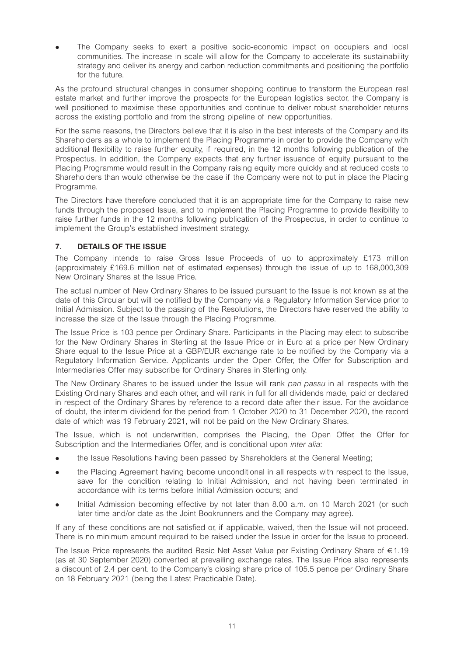The Company seeks to exert a positive socio-economic impact on occupiers and local communities. The increase in scale will allow for the Company to accelerate its sustainability strategy and deliver its energy and carbon reduction commitments and positioning the portfolio for the future.

As the profound structural changes in consumer shopping continue to transform the European real estate market and further improve the prospects for the European logistics sector, the Company is well positioned to maximise these opportunities and continue to deliver robust shareholder returns across the existing portfolio and from the strong pipeline of new opportunities.

For the same reasons, the Directors believe that it is also in the best interests of the Company and its Shareholders as a whole to implement the Placing Programme in order to provide the Company with additional flexibility to raise further equity, if required, in the 12 months following publication of the Prospectus. In addition, the Company expects that any further issuance of equity pursuant to the Placing Programme would result in the Company raising equity more quickly and at reduced costs to Shareholders than would otherwise be the case if the Company were not to put in place the Placing Programme.

The Directors have therefore concluded that it is an appropriate time for the Company to raise new funds through the proposed Issue, and to implement the Placing Programme to provide flexibility to raise further funds in the 12 months following publication of the Prospectus, in order to continue to implement the Group's established investment strategy.

### **7. DETAILS OF THE ISSUE**

The Company intends to raise Gross Issue Proceeds of up to approximately £173 million (approximately £169.6 million net of estimated expenses) through the issue of up to 168,000,309 New Ordinary Shares at the Issue Price.

The actual number of New Ordinary Shares to be issued pursuant to the Issue is not known as at the date of this Circular but will be notified by the Company via a Regulatory Information Service prior to Initial Admission. Subject to the passing of the Resolutions, the Directors have reserved the ability to increase the size of the Issue through the Placing Programme.

The Issue Price is 103 pence per Ordinary Share. Participants in the Placing may elect to subscribe for the New Ordinary Shares in Sterling at the Issue Price or in Euro at a price per New Ordinary Share equal to the Issue Price at a GBP/EUR exchange rate to be notified by the Company via a Regulatory Information Service. Applicants under the Open Offer, the Offer for Subscription and Intermediaries Offer may subscribe for Ordinary Shares in Sterling only.

The New Ordinary Shares to be issued under the Issue will rank *pari passu* in all respects with the Existing Ordinary Shares and each other, and will rank in full for all dividends made, paid or declared in respect of the Ordinary Shares by reference to a record date after their issue. For the avoidance of doubt, the interim dividend for the period from 1 October 2020 to 31 December 2020, the record date of which was 19 February 2021, will not be paid on the New Ordinary Shares.

The Issue, which is not underwritten, comprises the Placing, the Open Offer, the Offer for Subscription and the Intermediaries Offer, and is conditional upon *inter alia*:

- the Issue Resolutions having been passed by Shareholders at the General Meeting;
- <sup>l</sup> the Placing Agreement having become unconditional in all respects with respect to the Issue, save for the condition relating to Initial Admission, and not having been terminated in accordance with its terms before Initial Admission occurs; and
- <sup>l</sup> Initial Admission becoming effective by not later than 8.00 a.m. on 10 March 2021 (or such later time and/or date as the Joint Bookrunners and the Company may agree).

If any of these conditions are not satisfied or, if applicable, waived, then the Issue will not proceed. There is no minimum amount required to be raised under the Issue in order for the Issue to proceed.

The Issue Price represents the audited Basic Net Asset Value per Existing Ordinary Share of €1.19 (as at 30 September 2020) converted at prevailing exchange rates. The Issue Price also represents a discount of 2.4 per cent. to the Company's closing share price of 105.5 pence per Ordinary Share on 18 February 2021 (being the Latest Practicable Date).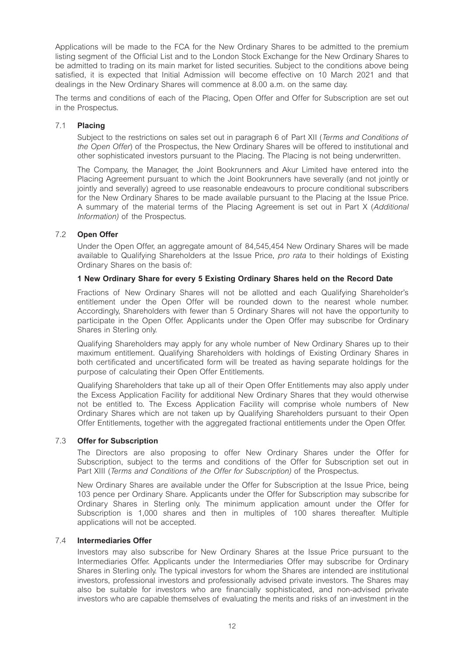Applications will be made to the FCA for the New Ordinary Shares to be admitted to the premium listing segment of the Official List and to the London Stock Exchange for the New Ordinary Shares to be admitted to trading on its main market for listed securities. Subject to the conditions above being satisfied, it is expected that Initial Admission will become effective on 10 March 2021 and that dealings in the New Ordinary Shares will commence at 8.00 a.m. on the same day.

The terms and conditions of each of the Placing, Open Offer and Offer for Subscription are set out in the Prospectus.

#### 7.1 **Placing**

Subject to the restrictions on sales set out in paragraph 6 of Part XII (*Terms and Conditions of the Open Offer*) of the Prospectus, the New Ordinary Shares will be offered to institutional and other sophisticated investors pursuant to the Placing. The Placing is not being underwritten.

The Company, the Manager, the Joint Bookrunners and Akur Limited have entered into the Placing Agreement pursuant to which the Joint Bookrunners have severally (and not jointly or jointly and severally) agreed to use reasonable endeavours to procure conditional subscribers for the New Ordinary Shares to be made available pursuant to the Placing at the Issue Price. A summary of the material terms of the Placing Agreement is set out in Part X (*Additional Information)* of the Prospectus.

#### 7.2 **Open Offer**

Under the Open Offer, an aggregate amount of 84,545,454 New Ordinary Shares will be made available to Qualifying Shareholders at the Issue Price, *pro rata* to their holdings of Existing Ordinary Shares on the basis of:

#### **1 New Ordinary Share for every 5 Existing Ordinary Shares held on the Record Date**

Fractions of New Ordinary Shares will not be allotted and each Qualifying Shareholder's entitlement under the Open Offer will be rounded down to the nearest whole number. Accordingly, Shareholders with fewer than 5 Ordinary Shares will not have the opportunity to participate in the Open Offer. Applicants under the Open Offer may subscribe for Ordinary Shares in Sterling only.

Qualifying Shareholders may apply for any whole number of New Ordinary Shares up to their maximum entitlement. Qualifying Shareholders with holdings of Existing Ordinary Shares in both certificated and uncertificated form will be treated as having separate holdings for the purpose of calculating their Open Offer Entitlements.

Qualifying Shareholders that take up all of their Open Offer Entitlements may also apply under the Excess Application Facility for additional New Ordinary Shares that they would otherwise not be entitled to. The Excess Application Facility will comprise whole numbers of New Ordinary Shares which are not taken up by Qualifying Shareholders pursuant to their Open Offer Entitlements, together with the aggregated fractional entitlements under the Open Offer.

#### 7.3 **Offer for Subscription**

The Directors are also proposing to offer New Ordinary Shares under the Offer for Subscription, subject to the terms and conditions of the Offer for Subscription set out in Part XIII (*Terms and Conditions of the Offer for Subscription)* of the Prospectus.

New Ordinary Shares are available under the Offer for Subscription at the Issue Price, being 103 pence per Ordinary Share. Applicants under the Offer for Subscription may subscribe for Ordinary Shares in Sterling only. The minimum application amount under the Offer for Subscription is 1,000 shares and then in multiples of 100 shares thereafter. Multiple applications will not be accepted.

#### 7.4 **Intermediaries Offer**

Investors may also subscribe for New Ordinary Shares at the Issue Price pursuant to the Intermediaries Offer. Applicants under the Intermediaries Offer may subscribe for Ordinary Shares in Sterling only. The typical investors for whom the Shares are intended are institutional investors, professional investors and professionally advised private investors. The Shares may also be suitable for investors who are financially sophisticated, and non-advised private investors who are capable themselves of evaluating the merits and risks of an investment in the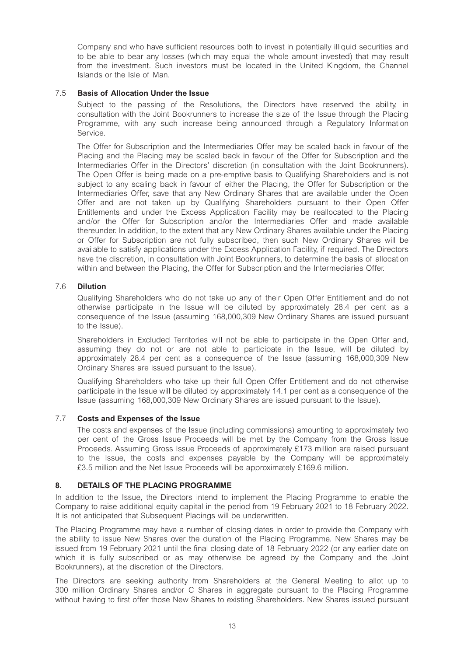Company and who have sufficient resources both to invest in potentially illiquid securities and to be able to bear any losses (which may equal the whole amount invested) that may result from the investment. Such investors must be located in the United Kingdom, the Channel Islands or the Isle of Man.

#### 7.5 **Basis of Allocation Under the Issue**

Subject to the passing of the Resolutions, the Directors have reserved the ability, in consultation with the Joint Bookrunners to increase the size of the Issue through the Placing Programme, with any such increase being announced through a Regulatory Information Service.

The Offer for Subscription and the Intermediaries Offer may be scaled back in favour of the Placing and the Placing may be scaled back in favour of the Offer for Subscription and the Intermediaries Offer in the Directors' discretion (in consultation with the Joint Bookrunners). The Open Offer is being made on a pre-emptive basis to Qualifying Shareholders and is not subject to any scaling back in favour of either the Placing, the Offer for Subscription or the Intermediaries Offer, save that any New Ordinary Shares that are available under the Open Offer and are not taken up by Qualifying Shareholders pursuant to their Open Offer Entitlements and under the Excess Application Facility may be reallocated to the Placing and/or the Offer for Subscription and/or the Intermediaries Offer and made available thereunder. In addition, to the extent that any New Ordinary Shares available under the Placing or Offer for Subscription are not fully subscribed, then such New Ordinary Shares will be available to satisfy applications under the Excess Application Facility, if required. The Directors have the discretion, in consultation with Joint Bookrunners, to determine the basis of allocation within and between the Placing, the Offer for Subscription and the Intermediaries Offer.

#### 7.6 **Dilution**

Qualifying Shareholders who do not take up any of their Open Offer Entitlement and do not otherwise participate in the Issue will be diluted by approximately 28.4 per cent as a consequence of the Issue (assuming 168,000,309 New Ordinary Shares are issued pursuant to the Issue).

Shareholders in Excluded Territories will not be able to participate in the Open Offer and, assuming they do not or are not able to participate in the Issue, will be diluted by approximately 28.4 per cent as a consequence of the Issue (assuming 168,000,309 New Ordinary Shares are issued pursuant to the Issue).

Qualifying Shareholders who take up their full Open Offer Entitlement and do not otherwise participate in the Issue will be diluted by approximately 14.1 per cent as a consequence of the Issue (assuming 168,000,309 New Ordinary Shares are issued pursuant to the Issue).

#### 7.7 **Costs and Expenses of the Issue**

The costs and expenses of the Issue (including commissions) amounting to approximately two per cent of the Gross Issue Proceeds will be met by the Company from the Gross Issue Proceeds. Assuming Gross Issue Proceeds of approximately £173 million are raised pursuant to the Issue, the costs and expenses payable by the Company will be approximately £3.5 million and the Net Issue Proceeds will be approximately £169.6 million.

#### **8. DETAILS OF THE PLACING PROGRAMME**

In addition to the Issue, the Directors intend to implement the Placing Programme to enable the Company to raise additional equity capital in the period from 19 February 2021 to 18 February 2022. It is not anticipated that Subsequent Placings will be underwritten.

The Placing Programme may have a number of closing dates in order to provide the Company with the ability to issue New Shares over the duration of the Placing Programme. New Shares may be issued from 19 February 2021 until the final closing date of 18 February 2022 (or any earlier date on which it is fully subscribed or as may otherwise be agreed by the Company and the Joint Bookrunners), at the discretion of the Directors.

The Directors are seeking authority from Shareholders at the General Meeting to allot up to 300 million Ordinary Shares and/or C Shares in aggregate pursuant to the Placing Programme without having to first offer those New Shares to existing Shareholders. New Shares issued pursuant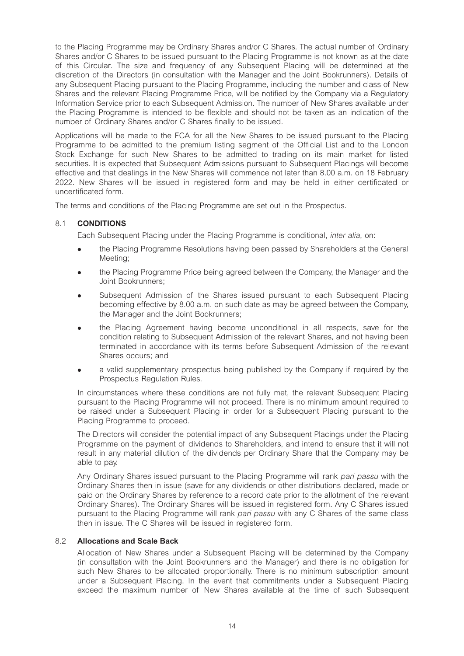to the Placing Programme may be Ordinary Shares and/or C Shares. The actual number of Ordinary Shares and/or C Shares to be issued pursuant to the Placing Programme is not known as at the date of this Circular. The size and frequency of any Subsequent Placing will be determined at the discretion of the Directors (in consultation with the Manager and the Joint Bookrunners). Details of any Subsequent Placing pursuant to the Placing Programme, including the number and class of New Shares and the relevant Placing Programme Price, will be notified by the Company via a Regulatory Information Service prior to each Subsequent Admission. The number of New Shares available under the Placing Programme is intended to be flexible and should not be taken as an indication of the number of Ordinary Shares and/or C Shares finally to be issued.

Applications will be made to the FCA for all the New Shares to be issued pursuant to the Placing Programme to be admitted to the premium listing segment of the Official List and to the London Stock Exchange for such New Shares to be admitted to trading on its main market for listed securities. It is expected that Subsequent Admissions pursuant to Subsequent Placings will become effective and that dealings in the New Shares will commence not later than 8.00 a.m. on 18 February 2022. New Shares will be issued in registered form and may be held in either certificated or uncertificated form.

The terms and conditions of the Placing Programme are set out in the Prospectus.

#### 8.1 **CONDITIONS**

Each Subsequent Placing under the Placing Programme is conditional, *inter alia*, on:

- <sup>l</sup> the Placing Programme Resolutions having been passed by Shareholders at the General Meeting;
- <sup>l</sup> the Placing Programme Price being agreed between the Company, the Manager and the Joint Bookrunners;
- <sup>l</sup> Subsequent Admission of the Shares issued pursuant to each Subsequent Placing becoming effective by 8.00 a.m. on such date as may be agreed between the Company, the Manager and the Joint Bookrunners;
- <sup>l</sup> the Placing Agreement having become unconditional in all respects, save for the condition relating to Subsequent Admission of the relevant Shares, and not having been terminated in accordance with its terms before Subsequent Admission of the relevant Shares occurs; and
- a valid supplementary prospectus being published by the Company if required by the Prospectus Regulation Rules.

In circumstances where these conditions are not fully met, the relevant Subsequent Placing pursuant to the Placing Programme will not proceed. There is no minimum amount required to be raised under a Subsequent Placing in order for a Subsequent Placing pursuant to the Placing Programme to proceed.

The Directors will consider the potential impact of any Subsequent Placings under the Placing Programme on the payment of dividends to Shareholders, and intend to ensure that it will not result in any material dilution of the dividends per Ordinary Share that the Company may be able to pay.

Any Ordinary Shares issued pursuant to the Placing Programme will rank *pari passu* with the Ordinary Shares then in issue (save for any dividends or other distributions declared, made or paid on the Ordinary Shares by reference to a record date prior to the allotment of the relevant Ordinary Shares). The Ordinary Shares will be issued in registered form. Any C Shares issued pursuant to the Placing Programme will rank *pari passu* with any C Shares of the same class then in issue. The C Shares will be issued in registered form.

#### 8.2 **Allocations and Scale Back**

Allocation of New Shares under a Subsequent Placing will be determined by the Company (in consultation with the Joint Bookrunners and the Manager) and there is no obligation for such New Shares to be allocated proportionally. There is no minimum subscription amount under a Subsequent Placing. In the event that commitments under a Subsequent Placing exceed the maximum number of New Shares available at the time of such Subsequent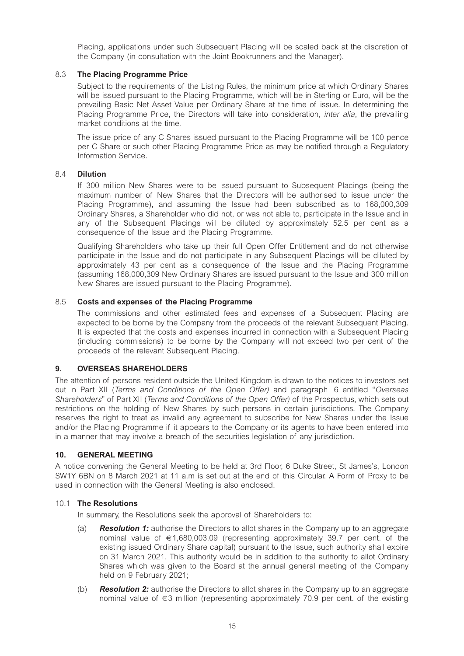Placing, applications under such Subsequent Placing will be scaled back at the discretion of the Company (in consultation with the Joint Bookrunners and the Manager).

#### 8.3 **The Placing Programme Price**

Subject to the requirements of the Listing Rules, the minimum price at which Ordinary Shares will be issued pursuant to the Placing Programme, which will be in Sterling or Euro, will be the prevailing Basic Net Asset Value per Ordinary Share at the time of issue. In determining the Placing Programme Price, the Directors will take into consideration, *inter alia*, the prevailing market conditions at the time.

The issue price of any C Shares issued pursuant to the Placing Programme will be 100 pence per C Share or such other Placing Programme Price as may be notified through a Regulatory Information Service.

#### 8.4 **Dilution**

If 300 million New Shares were to be issued pursuant to Subsequent Placings (being the maximum number of New Shares that the Directors will be authorised to issue under the Placing Programme), and assuming the Issue had been subscribed as to 168,000,309 Ordinary Shares, a Shareholder who did not, or was not able to, participate in the Issue and in any of the Subsequent Placings will be diluted by approximately 52.5 per cent as a consequence of the Issue and the Placing Programme.

Qualifying Shareholders who take up their full Open Offer Entitlement and do not otherwise participate in the Issue and do not participate in any Subsequent Placings will be diluted by approximately 43 per cent as a consequence of the Issue and the Placing Programme (assuming 168,000,309 New Ordinary Shares are issued pursuant to the Issue and 300 million New Shares are issued pursuant to the Placing Programme).

#### 8.5 **Costs and expenses of the Placing Programme**

The commissions and other estimated fees and expenses of a Subsequent Placing are expected to be borne by the Company from the proceeds of the relevant Subsequent Placing. It is expected that the costs and expenses incurred in connection with a Subsequent Placing (including commissions) to be borne by the Company will not exceed two per cent of the proceeds of the relevant Subsequent Placing.

#### **9. OVERSEAS SHAREHOLDERS**

The attention of persons resident outside the United Kingdom is drawn to the notices to investors set out in Part XII (*Terms and Conditions of the Open Offer)* and paragraph 6 entitled "*Overseas Shareholders*" of Part XII (*Terms and Conditions of the Open Offer)* of the Prospectus, which sets out restrictions on the holding of New Shares by such persons in certain jurisdictions. The Company reserves the right to treat as invalid any agreement to subscribe for New Shares under the Issue and/or the Placing Programme if it appears to the Company or its agents to have been entered into in a manner that may involve a breach of the securities legislation of any jurisdiction.

#### **10. GENERAL MEETING**

A notice convening the General Meeting to be held at 3rd Floor, 6 Duke Street, St James's, London SW1Y 6BN on 8 March 2021 at 11 a.m is set out at the end of this Circular. A Form of Proxy to be used in connection with the General Meeting is also enclosed.

#### 10.1 **The Resolutions**

In summary, the Resolutions seek the approval of Shareholders to:

- (a) *Resolution 1:* authorise the Directors to allot shares in the Company up to an aggregate nominal value of  $\epsilon$ 1,680,003.09 (representing approximately 39.7 per cent. of the existing issued Ordinary Share capital) pursuant to the Issue, such authority shall expire on 31 March 2021. This authority would be in addition to the authority to allot Ordinary Shares which was given to the Board at the annual general meeting of the Company held on 9 February 2021;
- (b) *Resolution 2:* authorise the Directors to allot shares in the Company up to an aggregate nominal value of €3 million (representing approximately 70.9 per cent. of the existing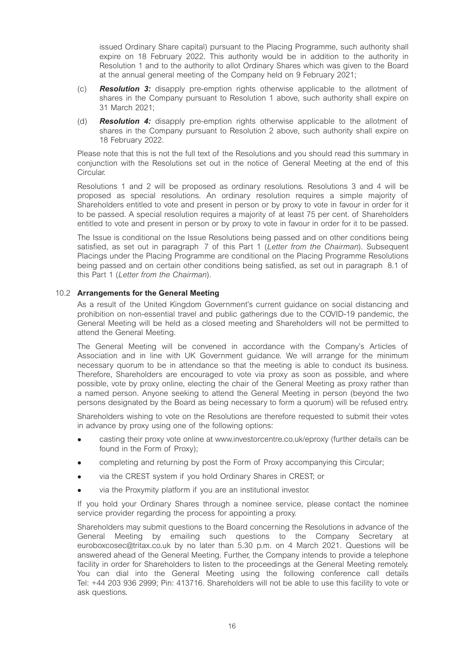issued Ordinary Share capital) pursuant to the Placing Programme, such authority shall expire on 18 February 2022. This authority would be in addition to the authority in Resolution 1 and to the authority to allot Ordinary Shares which was given to the Board at the annual general meeting of the Company held on 9 February 2021;

- (c) *Resolution 3:* disapply pre-emption rights otherwise applicable to the allotment of shares in the Company pursuant to Resolution 1 above, such authority shall expire on 31 March 2021;
- (d) *Resolution 4:* disapply pre-emption rights otherwise applicable to the allotment of shares in the Company pursuant to Resolution 2 above, such authority shall expire on 18 February 2022.

Please note that this is not the full text of the Resolutions and you should read this summary in conjunction with the Resolutions set out in the notice of General Meeting at the end of this Circular.

Resolutions 1 and 2 will be proposed as ordinary resolutions. Resolutions 3 and 4 will be proposed as special resolutions. An ordinary resolution requires a simple majority of Shareholders entitled to vote and present in person or by proxy to vote in favour in order for it to be passed. A special resolution requires a majority of at least 75 per cent. of Shareholders entitled to vote and present in person or by proxy to vote in favour in order for it to be passed.

The Issue is conditional on the Issue Resolutions being passed and on other conditions being satisfied, as set out in paragraph 7 of this Part 1 (*Letter from the Chairman*). Subsequent Placings under the Placing Programme are conditional on the Placing Programme Resolutions being passed and on certain other conditions being satisfied, as set out in paragraph 8.1 of this Part 1 (*Letter from the Chairman*).

#### 10.2 **Arrangements for the General Meeting**

As a result of the United Kingdom Government's current guidance on social distancing and prohibition on non-essential travel and public gatherings due to the COVID-19 pandemic, the General Meeting will be held as a closed meeting and Shareholders will not be permitted to attend the General Meeting.

The General Meeting will be convened in accordance with the Company's Articles of Association and in line with UK Government guidance. We will arrange for the minimum necessary quorum to be in attendance so that the meeting is able to conduct its business. Therefore, Shareholders are encouraged to vote via proxy as soon as possible, and where possible, vote by proxy online, electing the chair of the General Meeting as proxy rather than a named person. Anyone seeking to attend the General Meeting in person (beyond the two persons designated by the Board as being necessary to form a quorum) will be refused entry.

Shareholders wishing to vote on the Resolutions are therefore requested to submit their votes in advance by proxy using one of the following options:

- casting their proxy vote online at www.investorcentre.co.uk/eproxy (further details can be found in the Form of Proxy);
- completing and returning by post the Form of Proxy accompanying this Circular;
- via the CREST system if you hold Ordinary Shares in CREST; or
- via the Proxymity platform if you are an institutional investor.

If you hold your Ordinary Shares through a nominee service, please contact the nominee service provider regarding the process for appointing a proxy.

Shareholders may submit questions to the Board concerning the Resolutions in advance of the General Meeting by emailing such questions to the Company Secretary at euroboxcosec@tritax.co.uk by no later than 5.30 p.m. on 4 March 2021. Questions will be answered ahead of the General Meeting. Further, the Company intends to provide a telephone facility in order for Shareholders to listen to the proceedings at the General Meeting remotely. You can dial into the General Meeting using the following conference call details Tel: +44 203 936 2999; Pin: 413716. Shareholders will not be able to use this facility to vote or ask questions.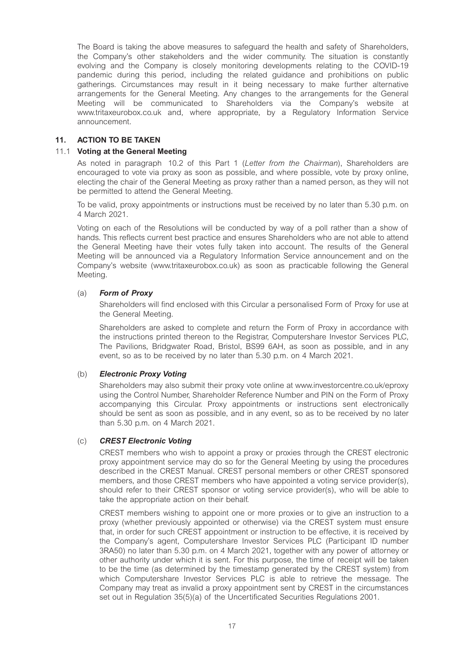The Board is taking the above measures to safeguard the health and safety of Shareholders, the Company's other stakeholders and the wider community. The situation is constantly evolving and the Company is closely monitoring developments relating to the COVID-19 pandemic during this period, including the related guidance and prohibitions on public gatherings. Circumstances may result in it being necessary to make further alternative arrangements for the General Meeting. Any changes to the arrangements for the General Meeting will be communicated to Shareholders via the Company's website at www.tritaxeurobox.co.uk and, where appropriate, by a Regulatory Information Service announcement.

#### **11. ACTION TO BE TAKEN**

#### 11.1 **Voting at the General Meeting**

As noted in paragraph 10.2 of this Part 1 (*Letter from the Chairman*), Shareholders are encouraged to vote via proxy as soon as possible, and where possible, vote by proxy online, electing the chair of the General Meeting as proxy rather than a named person, as they will not be permitted to attend the General Meeting.

To be valid, proxy appointments or instructions must be received by no later than 5.30 p.m. on 4 March 2021.

Voting on each of the Resolutions will be conducted by way of a poll rather than a show of hands. This reflects current best practice and ensures Shareholders who are not able to attend the General Meeting have their votes fully taken into account. The results of the General Meeting will be announced via a Regulatory Information Service announcement and on the Company's website (www.tritaxeurobox.co.uk) as soon as practicable following the General Meeting.

#### (a) *Form of Proxy*

Shareholders will find enclosed with this Circular a personalised Form of Proxy for use at the General Meeting.

Shareholders are asked to complete and return the Form of Proxy in accordance with the instructions printed thereon to the Registrar, Computershare Investor Services PLC, The Pavilions, Bridgwater Road, Bristol, BS99 6AH, as soon as possible, and in any event, so as to be received by no later than 5.30 p.m. on 4 March 2021.

#### (b) *Electronic Proxy Voting*

Shareholders may also submit their proxy vote online at www.investorcentre.co.uk/eproxy using the Control Number, Shareholder Reference Number and PIN on the Form of Proxy accompanying this Circular. Proxy appointments or instructions sent electronically should be sent as soon as possible, and in any event, so as to be received by no later than 5.30 p.m. on 4 March 2021.

#### (c) *CREST Electronic Voting*

CREST members who wish to appoint a proxy or proxies through the CREST electronic proxy appointment service may do so for the General Meeting by using the procedures described in the CREST Manual. CREST personal members or other CREST sponsored members, and those CREST members who have appointed a voting service provider(s), should refer to their CREST sponsor or voting service provider(s), who will be able to take the appropriate action on their behalf.

CREST members wishing to appoint one or more proxies or to give an instruction to a proxy (whether previously appointed or otherwise) via the CREST system must ensure that, in order for such CREST appointment or instruction to be effective, it is received by the Company's agent, Computershare Investor Services PLC (Participant ID number 3RA50) no later than 5.30 p.m. on 4 March 2021, together with any power of attorney or other authority under which it is sent. For this purpose, the time of receipt will be taken to be the time (as determined by the timestamp generated by the CREST system) from which Computershare Investor Services PLC is able to retrieve the message. The Company may treat as invalid a proxy appointment sent by CREST in the circumstances set out in Regulation 35(5)(a) of the Uncertificated Securities Regulations 2001.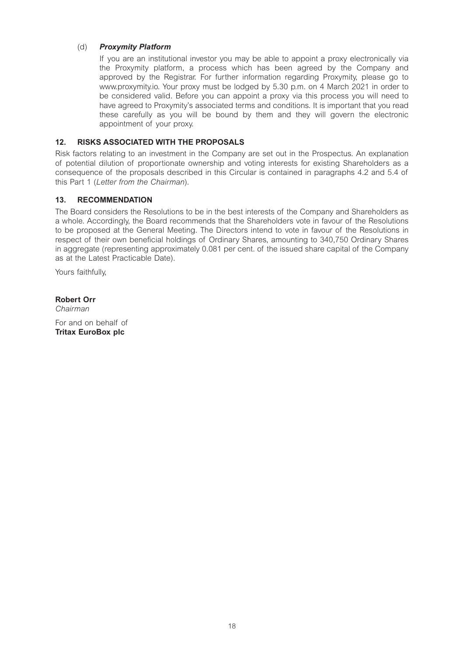#### (d) *Proxymity Platform*

If you are an institutional investor you may be able to appoint a proxy electronically via the Proxymity platform, a process which has been agreed by the Company and approved by the Registrar. For further information regarding Proxymity, please go to www.proxymity.io. Your proxy must be lodged by 5.30 p.m. on 4 March 2021 in order to be considered valid. Before you can appoint a proxy via this process you will need to have agreed to Proxymity's associated terms and conditions. It is important that you read these carefully as you will be bound by them and they will govern the electronic appointment of your proxy.

#### **12. RISKS ASSOCIATED WITH THE PROPOSALS**

Risk factors relating to an investment in the Company are set out in the Prospectus. An explanation of potential dilution of proportionate ownership and voting interests for existing Shareholders as a consequence of the proposals described in this Circular is contained in paragraphs 4.2 and 5.4 of this Part 1 (*Letter from the Chairman*).

#### **13. RECOMMENDATION**

The Board considers the Resolutions to be in the best interests of the Company and Shareholders as a whole. Accordingly, the Board recommends that the Shareholders vote in favour of the Resolutions to be proposed at the General Meeting. The Directors intend to vote in favour of the Resolutions in respect of their own beneficial holdings of Ordinary Shares, amounting to 340,750 Ordinary Shares in aggregate (representing approximately 0.081 per cent. of the issued share capital of the Company as at the Latest Practicable Date).

Yours faithfully.

**Robert Orr**  *Chairman* 

For and on behalf of **Tritax EuroBox plc**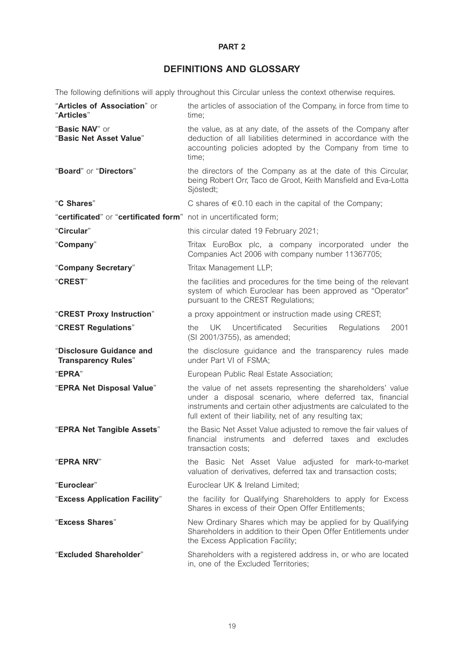#### **PART 2**

# **DEFINITIONS AND GLOSSARY**

The following definitions will apply throughout this Circular unless the context otherwise requires.

| "Articles of Association" or<br>"Articles"                        | the articles of association of the Company, in force from time to<br>time;                                                                                                                                                                               |
|-------------------------------------------------------------------|----------------------------------------------------------------------------------------------------------------------------------------------------------------------------------------------------------------------------------------------------------|
| "Basic NAV" or<br>"Basic Net Asset Value"                         | the value, as at any date, of the assets of the Company after<br>deduction of all liabilities determined in accordance with the<br>accounting policies adopted by the Company from time to<br>time;                                                      |
| "Board" or "Directors"                                            | the directors of the Company as at the date of this Circular,<br>being Robert Orr, Taco de Groot, Keith Mansfield and Eva-Lotta<br>Sjöstedt;                                                                                                             |
| "C Shares"                                                        | C shares of $\epsilon$ 0.10 each in the capital of the Company;                                                                                                                                                                                          |
| "certificated" or "certificated form" not in uncertificated form; |                                                                                                                                                                                                                                                          |
| "Circular"                                                        | this circular dated 19 February 2021;                                                                                                                                                                                                                    |
| "Company"                                                         | Tritax EuroBox plc, a company incorporated under the<br>Companies Act 2006 with company number 11367705;                                                                                                                                                 |
| "Company Secretary"                                               | Tritax Management LLP;                                                                                                                                                                                                                                   |
| "CREST"                                                           | the facilities and procedures for the time being of the relevant<br>system of which Euroclear has been approved as "Operator"<br>pursuant to the CREST Regulations;                                                                                      |
| "CREST Proxy Instruction"                                         | a proxy appointment or instruction made using CREST;                                                                                                                                                                                                     |
| "CREST Regulations"                                               | UK Uncertificated<br>Securities<br>2001<br>the<br>Regulations<br>(SI 2001/3755), as amended;                                                                                                                                                             |
| "Disclosure Guidance and<br><b>Transparency Rules"</b>            | the disclosure guidance and the transparency rules made<br>under Part VI of FSMA;                                                                                                                                                                        |
| "EPRA"                                                            | European Public Real Estate Association;                                                                                                                                                                                                                 |
| "EPRA Net Disposal Value"                                         | the value of net assets representing the shareholders' value<br>under a disposal scenario, where deferred tax, financial<br>instruments and certain other adjustments are calculated to the<br>full extent of their liability, net of any resulting tax; |
| "EPRA Net Tangible Assets"                                        | the Basic Net Asset Value adjusted to remove the fair values of<br>financial instruments and deferred taxes and excludes<br>transaction costs;                                                                                                           |
| "EPRA NRV"                                                        | the Basic Net Asset Value adjusted for mark-to-market<br>valuation of derivatives, deferred tax and transaction costs;                                                                                                                                   |
| "Euroclear"                                                       | Euroclear UK & Ireland Limited;                                                                                                                                                                                                                          |
| "Excess Application Facility"                                     | the facility for Qualifying Shareholders to apply for Excess<br>Shares in excess of their Open Offer Entitlements;                                                                                                                                       |
| "Excess Shares"                                                   | New Ordinary Shares which may be applied for by Qualifying<br>Shareholders in addition to their Open Offer Entitlements under<br>the Excess Application Facility;                                                                                        |
| "Excluded Shareholder"                                            | Shareholders with a registered address in, or who are located<br>in, one of the Excluded Territories;                                                                                                                                                    |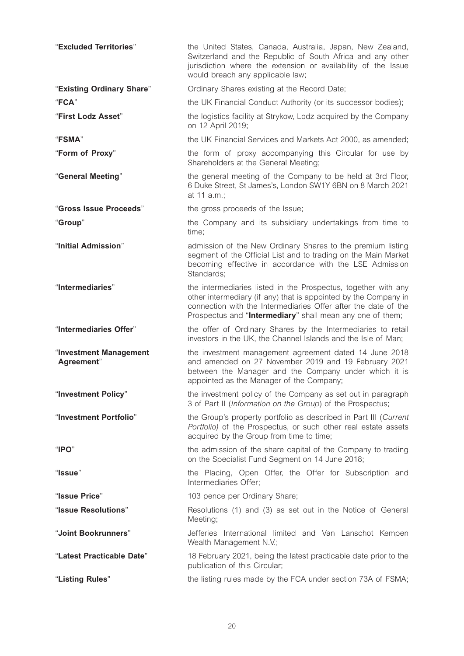| "Excluded Territories"               | the United States, Canada, Australia, Japan, New Zealand,<br>Switzerland and the Republic of South Africa and any other<br>jurisdiction where the extension or availability of the Issue<br>would breach any applicable law;                                     |
|--------------------------------------|------------------------------------------------------------------------------------------------------------------------------------------------------------------------------------------------------------------------------------------------------------------|
| "Existing Ordinary Share"            | Ordinary Shares existing at the Record Date;                                                                                                                                                                                                                     |
| "FCA"                                | the UK Financial Conduct Authority (or its successor bodies);                                                                                                                                                                                                    |
| "First Lodz Asset"                   | the logistics facility at Strykow, Lodz acquired by the Company<br>on 12 April 2019;                                                                                                                                                                             |
| "FSMA"                               | the UK Financial Services and Markets Act 2000, as amended;                                                                                                                                                                                                      |
| "Form of Proxy"                      | the form of proxy accompanying this Circular for use by<br>Shareholders at the General Meeting;                                                                                                                                                                  |
| "General Meeting"                    | the general meeting of the Company to be held at 3rd Floor,<br>6 Duke Street, St James's, London SW1Y 6BN on 8 March 2021<br>at 11 a.m.;                                                                                                                         |
| "Gross Issue Proceeds"               | the gross proceeds of the Issue;                                                                                                                                                                                                                                 |
| "Group"                              | the Company and its subsidiary undertakings from time to<br>time;                                                                                                                                                                                                |
| "Initial Admission"                  | admission of the New Ordinary Shares to the premium listing<br>segment of the Official List and to trading on the Main Market<br>becoming effective in accordance with the LSE Admission<br>Standards;                                                           |
| "Intermediaries"                     | the intermediaries listed in the Prospectus, together with any<br>other intermediary (if any) that is appointed by the Company in<br>connection with the Intermediaries Offer after the date of the<br>Prospectus and "Intermediary" shall mean any one of them; |
| "Intermediaries Offer"               | the offer of Ordinary Shares by the Intermediaries to retail<br>investors in the UK, the Channel Islands and the Isle of Man;                                                                                                                                    |
| "Investment Management<br>Agreement" | the investment management agreement dated 14 June 2018<br>and amended on 27 November 2019 and 19 February 2021<br>between the Manager and the Company under which it is<br>appointed as the Manager of the Company;                                              |
| "Investment Policy"                  | the investment policy of the Company as set out in paragraph<br>3 of Part II (Information on the Group) of the Prospectus;                                                                                                                                       |
| "Investment Portfolio"               | the Group's property portfolio as described in Part III (Current<br>Portfolio) of the Prospectus, or such other real estate assets<br>acquired by the Group from time to time;                                                                                   |
| " $IPO"$                             | the admission of the share capital of the Company to trading<br>on the Specialist Fund Segment on 14 June 2018;                                                                                                                                                  |
| "Issue"                              | the Placing, Open Offer, the Offer for Subscription and<br>Intermediaries Offer;                                                                                                                                                                                 |
| "Issue Price"                        | 103 pence per Ordinary Share;                                                                                                                                                                                                                                    |
| "Issue Resolutions"                  | Resolutions (1) and (3) as set out in the Notice of General<br>Meeting;                                                                                                                                                                                          |
| "Joint Bookrunners"                  | Jefferies International limited and Van Lanschot Kempen<br>Wealth Management N.V.;                                                                                                                                                                               |
| "Latest Practicable Date"            | 18 February 2021, being the latest practicable date prior to the<br>publication of this Circular;                                                                                                                                                                |
| "Listing Rules"                      | the listing rules made by the FCA under section 73A of FSMA;                                                                                                                                                                                                     |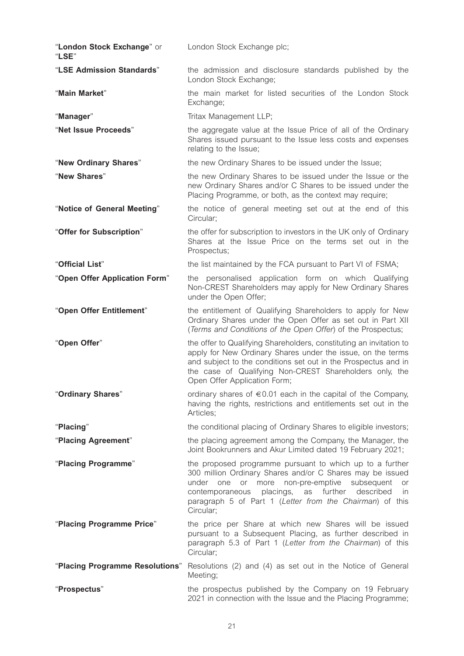| "London Stock Exchange" or<br>"LSE" | London Stock Exchange plc;                                                                                                                                                                                                                                                                                                      |
|-------------------------------------|---------------------------------------------------------------------------------------------------------------------------------------------------------------------------------------------------------------------------------------------------------------------------------------------------------------------------------|
| "LSE Admission Standards"           | the admission and disclosure standards published by the<br>London Stock Exchange;                                                                                                                                                                                                                                               |
| "Main Market"                       | the main market for listed securities of the London Stock<br>Exchange;                                                                                                                                                                                                                                                          |
| "Manager"                           | Tritax Management LLP;                                                                                                                                                                                                                                                                                                          |
| "Net Issue Proceeds"                | the aggregate value at the Issue Price of all of the Ordinary<br>Shares issued pursuant to the Issue less costs and expenses<br>relating to the Issue;                                                                                                                                                                          |
| "New Ordinary Shares"               | the new Ordinary Shares to be issued under the Issue;                                                                                                                                                                                                                                                                           |
| "New Shares"                        | the new Ordinary Shares to be issued under the Issue or the<br>new Ordinary Shares and/or C Shares to be issued under the<br>Placing Programme, or both, as the context may require;                                                                                                                                            |
| "Notice of General Meeting"         | the notice of general meeting set out at the end of this<br>Circular;                                                                                                                                                                                                                                                           |
| "Offer for Subscription"            | the offer for subscription to investors in the UK only of Ordinary<br>Shares at the Issue Price on the terms set out in the<br>Prospectus;                                                                                                                                                                                      |
| "Official List"                     | the list maintained by the FCA pursuant to Part VI of FSMA;                                                                                                                                                                                                                                                                     |
| "Open Offer Application Form"       | the personalised application form on which Qualifying<br>Non-CREST Shareholders may apply for New Ordinary Shares<br>under the Open Offer;                                                                                                                                                                                      |
| "Open Offer Entitlement"            | the entitlement of Qualifying Shareholders to apply for New<br>Ordinary Shares under the Open Offer as set out in Part XII<br>(Terms and Conditions of the Open Offer) of the Prospectus;                                                                                                                                       |
| "Open Offer"                        | the offer to Qualifying Shareholders, constituting an invitation to<br>apply for New Ordinary Shares under the issue, on the terms<br>and subject to the conditions set out in the Prospectus and in<br>the case of Qualifying Non-CREST Shareholders only, the<br>Open Offer Application Form;                                 |
| "Ordinary Shares"                   | ordinary shares of $\epsilon$ 0.01 each in the capital of the Company,<br>having the rights, restrictions and entitlements set out in the<br>Articles;                                                                                                                                                                          |
| "Placing"                           | the conditional placing of Ordinary Shares to eligible investors;                                                                                                                                                                                                                                                               |
| "Placing Agreement"                 | the placing agreement among the Company, the Manager, the<br>Joint Bookrunners and Akur Limited dated 19 February 2021;                                                                                                                                                                                                         |
| "Placing Programme"                 | the proposed programme pursuant to which up to a further<br>300 million Ordinary Shares and/or C Shares may be issued<br>under one<br>more non-pre-emptive<br>subsequent<br>or<br>or<br>placings,<br>as further<br>contemporaneous<br>described<br>in.<br>paragraph 5 of Part 1 (Letter from the Chairman) of this<br>Circular; |
| "Placing Programme Price"           | the price per Share at which new Shares will be issued<br>pursuant to a Subsequent Placing, as further described in<br>paragraph 5.3 of Part 1 (Letter from the Chairman) of this<br>Circular;                                                                                                                                  |
| "Placing Programme Resolutions"     | Resolutions (2) and (4) as set out in the Notice of General<br>Meeting;                                                                                                                                                                                                                                                         |
| "Prospectus"                        | the prospectus published by the Company on 19 February<br>2021 in connection with the Issue and the Placing Programme;                                                                                                                                                                                                          |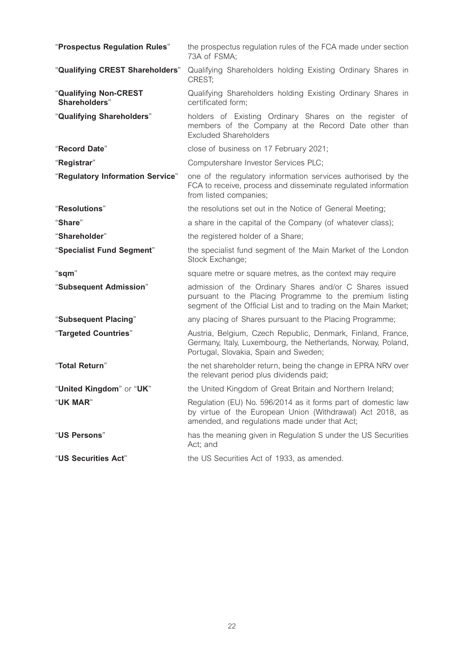| "Prospectus Regulation Rules"          | the prospectus regulation rules of the FCA made under section<br>73A of FSMA;                                                                                                          |
|----------------------------------------|----------------------------------------------------------------------------------------------------------------------------------------------------------------------------------------|
| "Qualifying CREST Shareholders"        | Qualifying Shareholders holding Existing Ordinary Shares in<br>CREST:                                                                                                                  |
| "Qualifying Non-CREST<br>Shareholders" | Qualifying Shareholders holding Existing Ordinary Shares in<br>certificated form;                                                                                                      |
| "Qualifying Shareholders"              | holders of Existing Ordinary Shares on the register of<br>members of the Company at the Record Date other than<br><b>Excluded Shareholders</b>                                         |
| "Record Date"                          | close of business on 17 February 2021;                                                                                                                                                 |
| "Registrar"                            | Computershare Investor Services PLC;                                                                                                                                                   |
| "Regulatory Information Service"       | one of the regulatory information services authorised by the<br>FCA to receive, process and disseminate regulated information<br>from listed companies;                                |
| "Resolutions"                          | the resolutions set out in the Notice of General Meeting;                                                                                                                              |
| "Share"                                | a share in the capital of the Company (of whatever class);                                                                                                                             |
| "Shareholder"                          | the registered holder of a Share;                                                                                                                                                      |
| "Specialist Fund Segment"              | the specialist fund segment of the Main Market of the London<br>Stock Exchange;                                                                                                        |
| "sqm"                                  | square metre or square metres, as the context may require                                                                                                                              |
| "Subsequent Admission"                 | admission of the Ordinary Shares and/or C Shares issued<br>pursuant to the Placing Programme to the premium listing<br>segment of the Official List and to trading on the Main Market; |
| "Subsequent Placing"                   | any placing of Shares pursuant to the Placing Programme;                                                                                                                               |
| "Targeted Countries"                   | Austria, Belgium, Czech Republic, Denmark, Finland, France,<br>Germany, Italy, Luxembourg, the Netherlands, Norway, Poland,<br>Portugal, Slovakia, Spain and Sweden;                   |
| "Total Return"                         | the net shareholder return, being the change in EPRA NRV over<br>the relevant period plus dividends paid;                                                                              |
| "United Kingdom" or "UK"               | the United Kingdom of Great Britain and Northern Ireland;                                                                                                                              |
| "UK MAR"                               | Regulation (EU) No. 596/2014 as it forms part of domestic law<br>by virtue of the European Union (Withdrawal) Act 2018, as<br>amended, and regulations made under that Act;            |
| "US Persons"                           | has the meaning given in Regulation S under the US Securities<br>Act; and                                                                                                              |
| "US Securities Act"                    | the US Securities Act of 1933, as amended.                                                                                                                                             |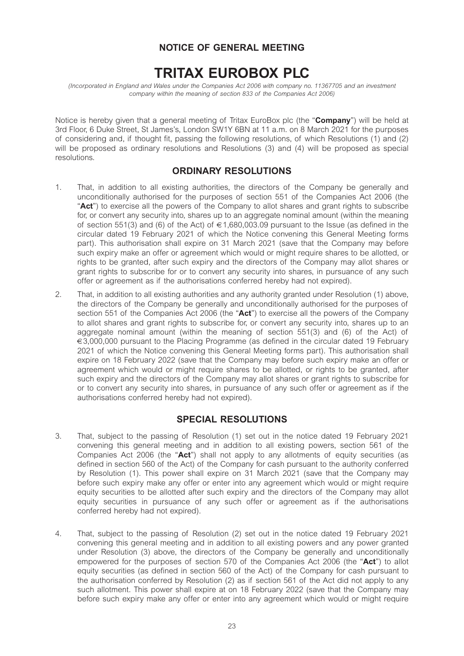# **NOTICE OF GENERAL MEETING**

# **TRITAX EUROBOX PLC**

*(Incorporated in England and Wales under the Companies Act 2006 with company no. 11367705 and an investment company within the meaning of section 833 of the Companies Act 2006)* 

Notice is hereby given that a general meeting of Tritax EuroBox plc (the "**Company**") will be held at 3rd Floor, 6 Duke Street, St James's, London SW1Y 6BN at 11 a.m. on 8 March 2021 for the purposes of considering and, if thought fit, passing the following resolutions, of which Resolutions (1) and (2) will be proposed as ordinary resolutions and Resolutions (3) and (4) will be proposed as special resolutions.

#### **ORDINARY RESOLUTIONS**

- 1. That, in addition to all existing authorities, the directors of the Company be generally and unconditionally authorised for the purposes of section 551 of the Companies Act 2006 (the "**Act**") to exercise all the powers of the Company to allot shares and grant rights to subscribe for, or convert any security into, shares up to an aggregate nominal amount (within the meaning of section 551(3) and (6) of the Act) of  $\in 1,680,003.09$  pursuant to the Issue (as defined in the circular dated 19 February 2021 of which the Notice convening this General Meeting forms part). This authorisation shall expire on 31 March 2021 (save that the Company may before such expiry make an offer or agreement which would or might require shares to be allotted, or rights to be granted, after such expiry and the directors of the Company may allot shares or grant rights to subscribe for or to convert any security into shares, in pursuance of any such offer or agreement as if the authorisations conferred hereby had not expired).
- 2. That, in addition to all existing authorities and any authority granted under Resolution (1) above, the directors of the Company be generally and unconditionally authorised for the purposes of section 551 of the Companies Act 2006 (the "**Act**") to exercise all the powers of the Company to allot shares and grant rights to subscribe for, or convert any security into, shares up to an aggregate nominal amount (within the meaning of section 551(3) and (6) of the Act) of €3,000,000 pursuant to the Placing Programme (as defined in the circular dated 19 February 2021 of which the Notice convening this General Meeting forms part). This authorisation shall expire on 18 February 2022 (save that the Company may before such expiry make an offer or agreement which would or might require shares to be allotted, or rights to be granted, after such expiry and the directors of the Company may allot shares or grant rights to subscribe for or to convert any security into shares, in pursuance of any such offer or agreement as if the authorisations conferred hereby had not expired).

### **SPECIAL RESOLUTIONS**

- 3. That, subject to the passing of Resolution (1) set out in the notice dated 19 February 2021 convening this general meeting and in addition to all existing powers, section 561 of the Companies Act 2006 (the "**Act**") shall not apply to any allotments of equity securities (as defined in section 560 of the Act) of the Company for cash pursuant to the authority conferred by Resolution (1). This power shall expire on 31 March 2021 (save that the Company may before such expiry make any offer or enter into any agreement which would or might require equity securities to be allotted after such expiry and the directors of the Company may allot equity securities in pursuance of any such offer or agreement as if the authorisations conferred hereby had not expired).
- 4. That, subject to the passing of Resolution (2) set out in the notice dated 19 February 2021 convening this general meeting and in addition to all existing powers and any power granted under Resolution (3) above, the directors of the Company be generally and unconditionally empowered for the purposes of section 570 of the Companies Act 2006 (the "**Act**") to allot equity securities (as defined in section 560 of the Act) of the Company for cash pursuant to the authorisation conferred by Resolution (2) as if section 561 of the Act did not apply to any such allotment. This power shall expire at on 18 February 2022 (save that the Company may before such expiry make any offer or enter into any agreement which would or might require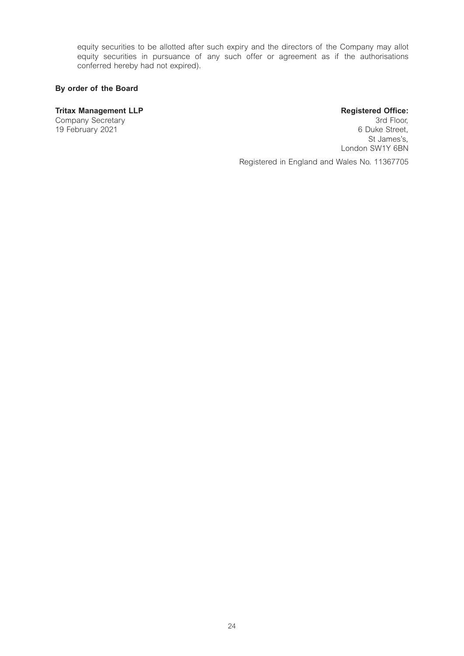equity securities to be allotted after such expiry and the directors of the Company may allot equity securities in pursuance of any such offer or agreement as if the authorisations conferred hereby had not expired).

#### **By order of the Board**

#### **Tritax Management LLP Registered Office:**

Company Secretary 3rd Floor, 19 February 2021 **6 Duke Street,**  St James's, London SW1Y 6BN

Registered in England and Wales No. 11367705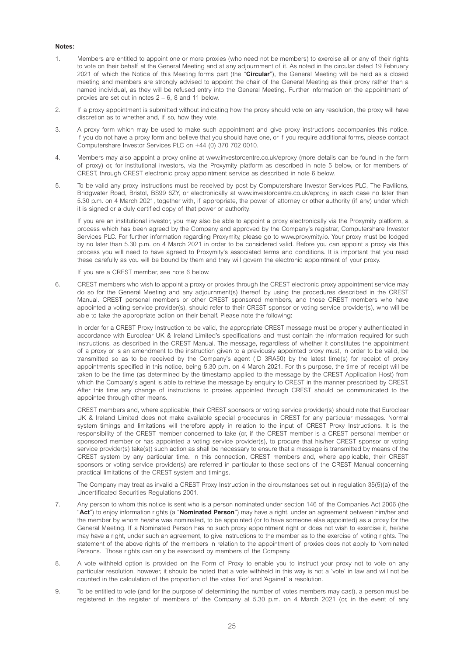#### **Notes:**

- 1. Members are entitled to appoint one or more proxies (who need not be members) to exercise all or any of their rights to vote on their behalf at the General Meeting and at any adjournment of it. As noted in the circular dated 19 February 2021 of which the Notice of this Meeting forms part (the "**Circular**"), the General Meeting will be held as a closed meeting and members are strongly advised to appoint the chair of the General Meeting as their proxy rather than a named individual, as they will be refused entry into the General Meeting. Further information on the appointment of proxies are set out in notes 2 – 6, 8 and 11 below.
- 2. If a proxy appointment is submitted without indicating how the proxy should vote on any resolution, the proxy will have discretion as to whether and, if so, how they vote.
- 3. A proxy form which may be used to make such appointment and give proxy instructions accompanies this notice. If you do not have a proxy form and believe that you should have one, or if you require additional forms, please contact Computershare Investor Services PLC on +44 (0) 370 702 0010.
- 4. Members may also appoint a proxy online at www.investorcentre.co.uk/eproxy (more details can be found in the form of proxy) or, for institutional investors, via the Proxymity platform as described in note 5 below, or for members of CREST, through CREST electronic proxy appointment service as described in note 6 below.
- 5. To be valid any proxy instructions must be received by post by Computershare Investor Services PLC, The Pavilions, Bridgwater Road, Bristol, BS99 6ZY, or electronically at www.investorcentre.co.uk/eproxy, in each case no later than 5.30 p.m. on 4 March 2021, together with, if appropriate, the power of attorney or other authority (if any) under which it is signed or a duly certified copy of that power or authority.

If you are an institutional investor, you may also be able to appoint a proxy electronically via the Proxymity platform, a process which has been agreed by the Company and approved by the Company's registrar, Computershare Investor Services PLC. For further information regarding Proxymity, please go to www.proxymity.io. Your proxy must be lodged by no later than 5.30 p.m. on 4 March 2021 in order to be considered valid. Before you can appoint a proxy via this process you will need to have agreed to Proxymity's associated terms and conditions. It is important that you read these carefully as you will be bound by them and they will govern the electronic appointment of your proxy.

If you are a CREST member, see note 6 below.

6. CREST members who wish to appoint a proxy or proxies through the CREST electronic proxy appointment service may do so for the General Meeting and any adjournment(s) thereof by using the procedures described in the CREST Manual. CREST personal members or other CREST sponsored members, and those CREST members who have appointed a voting service provider(s), should refer to their CREST sponsor or voting service provider(s), who will be able to take the appropriate action on their behalf. Please note the following:

In order for a CREST Proxy Instruction to be valid, the appropriate CREST message must be properly authenticated in accordance with Euroclear UK & Ireland Limited's specifications and must contain the information required for such instructions, as described in the CREST Manual. The message, regardless of whether it constitutes the appointment of a proxy or is an amendment to the instruction given to a previously appointed proxy must, in order to be valid, be transmitted so as to be received by the Company's agent (ID 3RA50) by the latest time(s) for receipt of proxy appointments specified in this notice, being 5.30 p.m. on 4 March 2021. For this purpose, the time of receipt will be taken to be the time (as determined by the timestamp applied to the message by the CREST Application Host) from which the Company's agent is able to retrieve the message by enquiry to CREST in the manner prescribed by CREST. After this time any change of instructions to proxies appointed through CREST should be communicated to the appointee through other means.

CREST members and, where applicable, their CREST sponsors or voting service provider(s) should note that Euroclear UK & Ireland Limited does not make available special procedures in CREST for any particular messages. Normal system timings and limitations will therefore apply in relation to the input of CREST Proxy Instructions. It is the responsibility of the CREST member concerned to take (or, if the CREST member is a CREST personal member or sponsored member or has appointed a voting service provider(s), to procure that his/her CREST sponsor or voting service provider(s) take(s)) such action as shall be necessary to ensure that a message is transmitted by means of the CREST system by any particular time. In this connection, CREST members and, where applicable, their CREST sponsors or voting service provider(s) are referred in particular to those sections of the CREST Manual concerning practical limitations of the CREST system and timings.

The Company may treat as invalid a CREST Proxy Instruction in the circumstances set out in regulation 35(5)(a) of the Uncertificated Securities Regulations 2001.

- 7. Any person to whom this notice is sent who is a person nominated under section 146 of the Companies Act 2006 (the "**Act**") to enjoy information rights (a "**Nominated Person**") may have a right, under an agreement between him/her and the member by whom he/she was nominated, to be appointed (or to have someone else appointed) as a proxy for the General Meeting. If a Nominated Person has no such proxy appointment right or does not wish to exercise it, he/she may have a right, under such an agreement, to give instructions to the member as to the exercise of voting rights. The statement of the above rights of the members in relation to the appointment of proxies does not apply to Nominated Persons. Those rights can only be exercised by members of the Company.
- 8. A vote withheld option is provided on the Form of Proxy to enable you to instruct your proxy not to vote on any particular resolution, however, it should be noted that a vote withheld in this way is not a 'vote' in law and will not be counted in the calculation of the proportion of the votes 'For' and 'Against' a resolution.
- 9. To be entitled to vote (and for the purpose of determining the number of votes members may cast), a person must be registered in the register of members of the Company at 5.30 p.m. on 4 March 2021 (or, in the event of any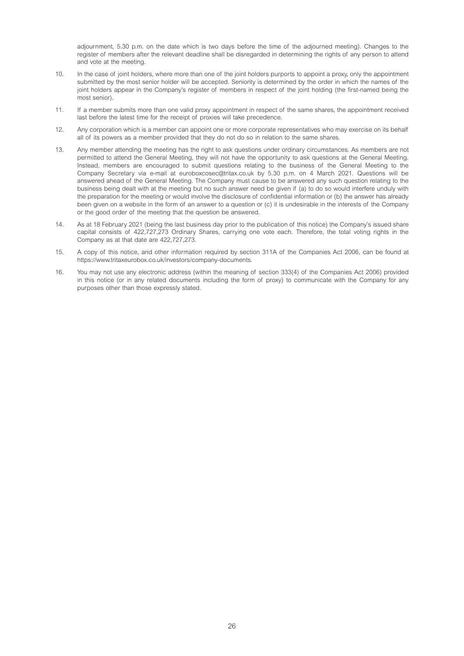adjournment, 5.30 p.m. on the date which is two days before the time of the adjourned meeting). Changes to the register of members after the relevant deadline shall be disregarded in determining the rights of any person to attend and vote at the meeting.

- 10. In the case of joint holders, where more than one of the joint holders purports to appoint a proxy, only the appointment submitted by the most senior holder will be accepted. Seniority is determined by the order in which the names of the joint holders appear in the Company's register of members in respect of the joint holding (the first-named being the most senior).
- 11. If a member submits more than one valid proxy appointment in respect of the same shares, the appointment received last before the latest time for the receipt of proxies will take precedence.
- 12. Any corporation which is a member can appoint one or more corporate representatives who may exercise on its behalf all of its powers as a member provided that they do not do so in relation to the same shares.
- 13. Any member attending the meeting has the right to ask questions under ordinary circumstances. As members are not permitted to attend the General Meeting, they will not have the opportunity to ask questions at the General Meeting. Instead, members are encouraged to submit questions relating to the business of the General Meeting to the Company Secretary via e-mail at euroboxcosec@tritax.co.uk by 5.30 p.m. on 4 March 2021. Questions will be answered ahead of the General Meeting. The Company must cause to be answered any such question relating to the business being dealt with at the meeting but no such answer need be given if (a) to do so would interfere unduly with the preparation for the meeting or would involve the disclosure of confidential information or (b) the answer has already been given on a website in the form of an answer to a question or (c) it is undesirable in the interests of the Company or the good order of the meeting that the question be answered.
- 14. As at 18 February 2021 (being the last business day prior to the publication of this notice) the Company's issued share capital consists of 422,727,273 Ordinary Shares, carrying one vote each. Therefore, the total voting rights in the Company as at that date are 422,727,273.
- 15. A copy of this notice, and other information required by section 311A of the Companies Act 2006, can be found at https://www.tritaxeurobox.co.uk/investors/company-documents.
- 16. You may not use any electronic address (within the meaning of section 333(4) of the Companies Act 2006) provided in this notice (or in any related documents including the form of proxy) to communicate with the Company for any purposes other than those expressly stated.